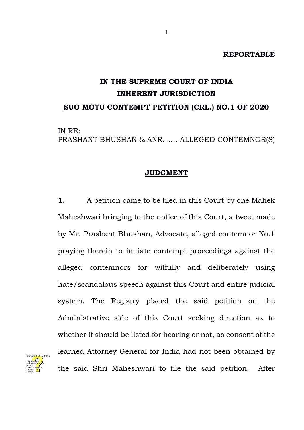## **REPORTABLE**

# **IN THE SUPREME COURT OF INDIA INHERENT JURISDICTION SUO MOTU CONTEMPT PETITION (CRL.) NO.1 OF 2020**

IN RE: PRASHANT BHUSHAN & ANR. …. ALLEGED CONTEMNOR(S)

## **JUDGMENT**

**1.** A petition came to be filed in this Court by one Mahek Maheshwari bringing to the notice of this Court, a tweet made by Mr. Prashant Bhushan, Advocate, alleged contemnor No.1 praying therein to initiate contempt proceedings against the alleged contemnors for wilfully and deliberately using hate/scandalous speech against this Court and entire judicial system. The Registry placed the said petition on the Administrative side of this Court seeking direction as to whether it should be listed for hearing or not, as consent of the learned Attorney General for India had not been obtained by the said Shri Maheshwari to file the said petition. After

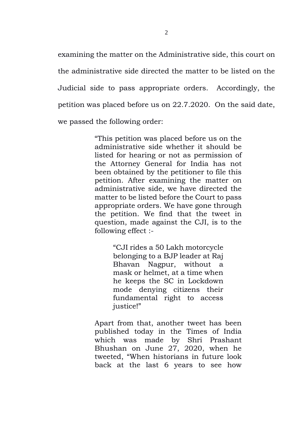examining the matter on the Administrative side, this court on the administrative side directed the matter to be listed on the Judicial side to pass appropriate orders. Accordingly, the petition was placed before us on 22.7.2020. On the said date, we passed the following order:

> "This petition was placed before us on the administrative side whether it should be listed for hearing or not as permission of the Attorney General for India has not been obtained by the petitioner to file this petition. After examining the matter on administrative side, we have directed the matter to be listed before the Court to pass appropriate orders. We have gone through the petition. We find that the tweet in question, made against the CJI, is to the following effect :-

> > "CJI rides a 50 Lakh motorcycle belonging to a BJP leader at Raj Bhavan Nagpur, without a mask or helmet, at a time when he keeps the SC in Lockdown mode denying citizens their fundamental right to access justice!"

Apart from that, another tweet has been published today in the Times of India which was made by Shri Prashant Bhushan on June 27, 2020, when he tweeted, "When historians in future look back at the last 6 years to see how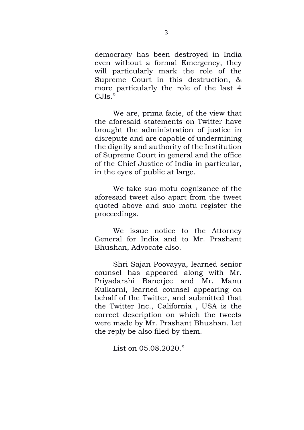democracy has been destroyed in India even without a formal Emergency, they will particularly mark the role of the Supreme Court in this destruction, & more particularly the role of the last 4  $C<sub>d</sub>$ IIs."

We are, prima facie, of the view that the aforesaid statements on Twitter have brought the administration of justice in disrepute and are capable of undermining the dignity and authority of the Institution of Supreme Court in general and the office of the Chief Justice of India in particular, in the eyes of public at large.

We take suo motu cognizance of the aforesaid tweet also apart from the tweet quoted above and suo motu register the proceedings.

We issue notice to the Attorney General for India and to Mr. Prashant Bhushan, Advocate also.

Shri Sajan Poovayya, learned senior counsel has appeared along with Mr. Priyadarshi Banerjee and Mr. Manu Kulkarni, learned counsel appearing on behalf of the Twitter, and submitted that the Twitter Inc., California , USA is the correct description on which the tweets were made by Mr. Prashant Bhushan. Let the reply be also filed by them.

List on 05.08.2020."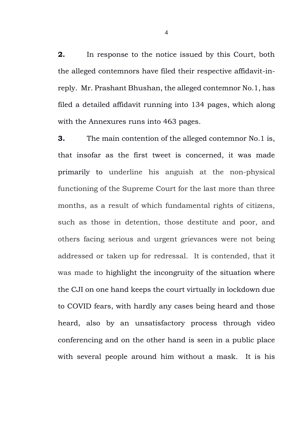**2.** In response to the notice issued by this Court, both the alleged contemnors have filed their respective affidavit-inreply. Mr. Prashant Bhushan, the alleged contemnor No.1, has filed a detailed affidavit running into 134 pages, which along with the Annexures runs into 463 pages.

**3.** The main contention of the alleged contemnor No.1 is, that insofar as the first tweet is concerned, it was made primarily to underline his anguish at the non-physical functioning of the Supreme Court for the last more than three months, as a result of which fundamental rights of citizens, such as those in detention, those destitute and poor, and others facing serious and urgent grievances were not being addressed or taken up for redressal. It is contended, that it was made to highlight the incongruity of the situation where the CJI on one hand keeps the court virtually in lockdown due to COVID fears, with hardly any cases being heard and those heard, also by an unsatisfactory process through video conferencing and on the other hand is seen in a public place with several people around him without a mask. It is his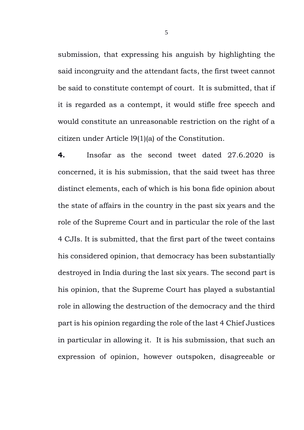submission, that expressing his anguish by highlighting the said incongruity and the attendant facts, the first tweet cannot be said to constitute contempt of court. It is submitted, that if it is regarded as a contempt, it would stifle free speech and would constitute an unreasonable restriction on the right of a citizen under Article l9(1)(a) of the Constitution.

**4.** Insofar as the second tweet dated 27.6.2020 is concerned, it is his submission, that the said tweet has three distinct elements, each of which is his bona fide opinion about the state of affairs in the country in the past six years and the role of the Supreme Court and in particular the role of the last 4 CJIs. It is submitted, that the first part of the tweet contains his considered opinion, that democracy has been substantially destroyed in India during the last six years. The second part is his opinion, that the Supreme Court has played a substantial role in allowing the destruction of the democracy and the third part is his opinion regarding the role of the last 4 Chief Justices in particular in allowing it. It is his submission, that such an expression of opinion, however outspoken, disagreeable or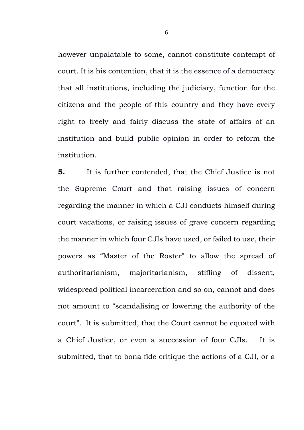however unpalatable to some, cannot constitute contempt of court. It is his contention, that it is the essence of a democracy that all institutions, including the judiciary, function for the citizens and the people of this country and they have every right to freely and fairly discuss the state of affairs of an institution and build public opinion in order to reform the institution.

**5.** It is further contended, that the Chief Justice is not the Supreme Court and that raising issues of concern regarding the manner in which a CJI conducts himself during court vacations, or raising issues of grave concern regarding the manner in which four CJIs have used, or failed to use, their powers as "Master of the Roster" to allow the spread of authoritarianism, majoritarianism, stifling of dissent, widespread political incarceration and so on, cannot and does not amount to "scandalising or lowering the authority of the court". It is submitted, that the Court cannot be equated with a Chief Justice, or even a succession of four CJIs. It is submitted, that to bona fide critique the actions of a CJI, or a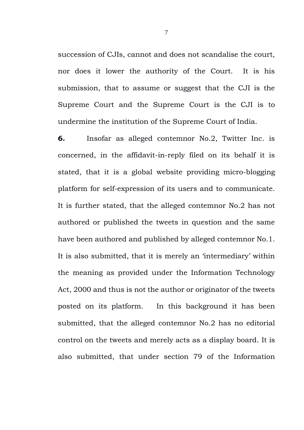succession of CJIs, cannot and does not scandalise the court, nor does it lower the authority of the Court. It is his submission, that to assume or suggest that the CJI is the Supreme Court and the Supreme Court is the CJI is to undermine the institution of the Supreme Court of India.

**6.** Insofar as alleged contemnor No.2, Twitter Inc. is concerned, in the affidavit-in-reply filed on its behalf it is stated, that it is a global website providing micro-blogging platform for self-expression of its users and to communicate. It is further stated, that the alleged contemnor No.2 has not authored or published the tweets in question and the same have been authored and published by alleged contemnor No.1. It is also submitted, that it is merely an 'intermediary' within the meaning as provided under the Information Technology Act, 2000 and thus is not the author or originator of the tweets posted on its platform. In this background it has been submitted, that the alleged contemnor No.2 has no editorial control on the tweets and merely acts as a display board. It is also submitted, that under section 79 of the Information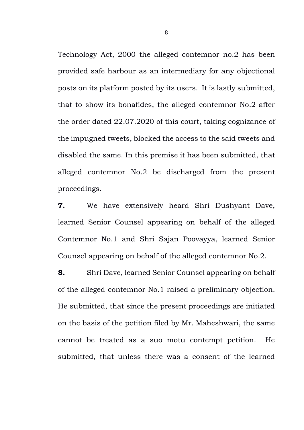Technology Act, 2000 the alleged contemnor no.2 has been provided safe harbour as an intermediary for any objectional posts on its platform posted by its users. It is lastly submitted, that to show its bonafides, the alleged contemnor No.2 after the order dated 22.07.2020 of this court, taking cognizance of the impugned tweets, blocked the access to the said tweets and disabled the same. In this premise it has been submitted, that alleged contemnor No.2 be discharged from the present proceedings.

**7.** We have extensively heard Shri Dushyant Dave, learned Senior Counsel appearing on behalf of the alleged Contemnor No.1 and Shri Sajan Poovayya, learned Senior Counsel appearing on behalf of the alleged contemnor No.2.

**8.** Shri Dave, learned Senior Counsel appearing on behalf of the alleged contemnor No.1 raised a preliminary objection. He submitted, that since the present proceedings are initiated on the basis of the petition filed by Mr. Maheshwari, the same cannot be treated as a suo motu contempt petition. He submitted, that unless there was a consent of the learned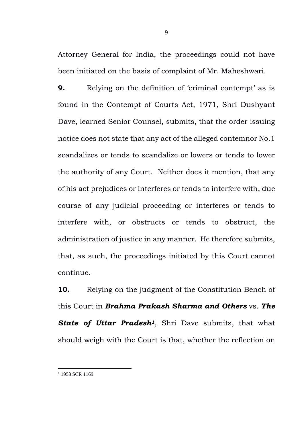Attorney General for India, the proceedings could not have been initiated on the basis of complaint of Mr. Maheshwari.

**9.** Relying on the definition of 'criminal contempt' as is found in the Contempt of Courts Act, 1971, Shri Dushyant Dave, learned Senior Counsel, submits, that the order issuing notice does not state that any act of the alleged contemnor No.1 scandalizes or tends to scandalize or lowers or tends to lower the authority of any Court. Neither does it mention, that any of his act prejudices or interferes or tends to interfere with, due course of any judicial proceeding or interferes or tends to interfere with, or obstructs or tends to obstruct, the administration of justice in any manner. He therefore submits, that, as such, the proceedings initiated by this Court cannot continue.

**10.** Relying on the judgment of the Constitution Bench of this Court in *Brahma Prakash Sharma and Others* vs. *The State of Uttar Pradesh1*, Shri Dave submits, that what should weigh with the Court is that, whether the reflection on

9

<sup>&</sup>lt;sup>1</sup> 1953 SCR 1169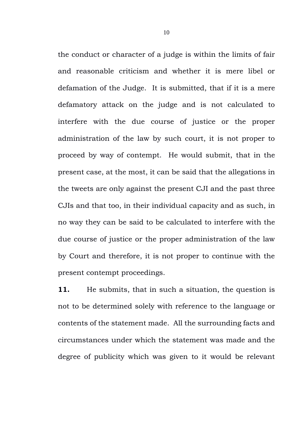the conduct or character of a judge is within the limits of fair and reasonable criticism and whether it is mere libel or defamation of the Judge. It is submitted, that if it is a mere defamatory attack on the judge and is not calculated to interfere with the due course of justice or the proper administration of the law by such court, it is not proper to proceed by way of contempt. He would submit, that in the present case, at the most, it can be said that the allegations in the tweets are only against the present CJI and the past three CJIs and that too, in their individual capacity and as such, in no way they can be said to be calculated to interfere with the due course of justice or the proper administration of the law by Court and therefore, it is not proper to continue with the present contempt proceedings.

**11.** He submits, that in such a situation, the question is not to be determined solely with reference to the language or contents of the statement made. All the surrounding facts and circumstances under which the statement was made and the degree of publicity which was given to it would be relevant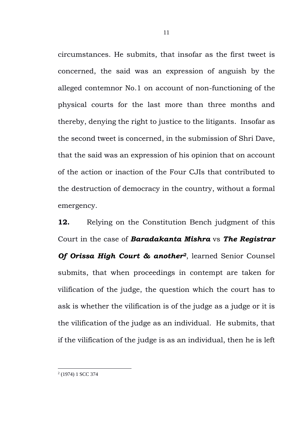circumstances. He submits, that insofar as the first tweet is concerned, the said was an expression of anguish by the alleged contemnor No.1 on account of non-functioning of the physical courts for the last more than three months and thereby, denying the right to justice to the litigants. Insofar as the second tweet is concerned, in the submission of Shri Dave, that the said was an expression of his opinion that on account of the action or inaction of the Four CJIs that contributed to the destruction of democracy in the country, without a formal emergency.

**12.** Relying on the Constitution Bench judgment of this Court in the case of *Baradakanta Mishra* vs *The Registrar Of Orissa High Court & another2*, learned Senior Counsel submits, that when proceedings in contempt are taken for vilification of the judge, the question which the court has to ask is whether the vilification is of the judge as a judge or it is the vilification of the judge as an individual. He submits, that if the vilification of the judge is as an individual, then he is left

2 (1974) 1 SCC 374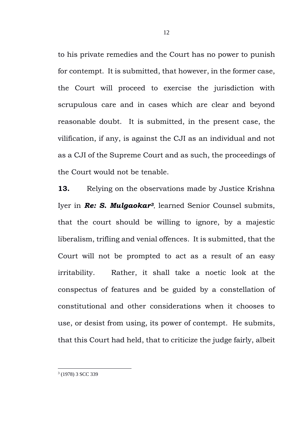to his private remedies and the Court has no power to punish for contempt. It is submitted, that however, in the former case, the Court will proceed to exercise the jurisdiction with scrupulous care and in cases which are clear and beyond reasonable doubt. It is submitted, in the present case, the vilification, if any, is against the CJI as an individual and not as a CJI of the Supreme Court and as such, the proceedings of the Court would not be tenable.

**13.** Relying on the observations made by Justice Krishna Iyer in *Re: S. Mulgaokar<sup>3</sup>*, learned Senior Counsel submits, that the court should be willing to ignore, by a majestic liberalism, trifling and venial offences. It is submitted, that the Court will not be prompted to act as a result of an easy irritability. Rather, it shall take a noetic look at the conspectus of features and be guided by a constellation of constitutional and other considerations when it chooses to use, or desist from using, its power of contempt. He submits, that this Court had held, that to criticize the judge fairly, albeit

3 (1978) 3 SCC 339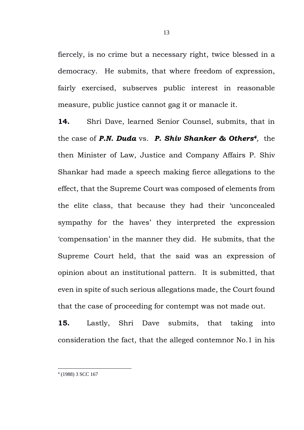fiercely, is no crime but a necessary right, twice blessed in a democracy. He submits, that where freedom of expression, fairly exercised, subserves public interest in reasonable measure, public justice cannot gag it or manacle it.

**14.** Shri Dave, learned Senior Counsel, submits, that in the case of *P.N. Duda* vs. *P. Shiv Shanker & Others4,* the then Minister of Law, Justice and Company Affairs P. Shiv Shankar had made a speech making fierce allegations to the effect, that the Supreme Court was composed of elements from the elite class, that because they had their 'unconcealed sympathy for the haves' they interpreted the expression 'compensation' in the manner they did. He submits, that the Supreme Court held, that the said was an expression of opinion about an institutional pattern. It is submitted, that even in spite of such serious allegations made, the Court found that the case of proceeding for contempt was not made out.

**15.** Lastly, Shri Dave submits, that taking into consideration the fact, that the alleged contemnor No.1 in his

4 (1988) 3 SCC 167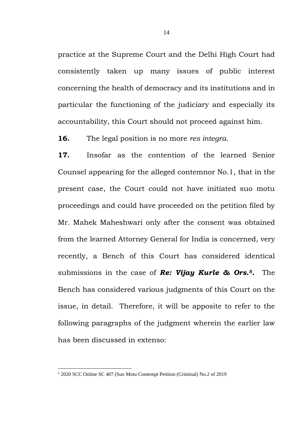practice at the Supreme Court and the Delhi High Court had consistently taken up many issues of public interest concerning the health of democracy and its institutions and in particular the functioning of the judiciary and especially its accountability, this Court should not proceed against him.

**16.** The legal position is no more *res integra*.

**17.** Insofar as the contention of the learned Senior Counsel appearing for the alleged contemnor No.1, that in the present case, the Court could not have initiated suo motu proceedings and could have proceeded on the petition filed by Mr. Mahek Maheshwari only after the consent was obtained from the learned Attorney General for India is concerned, very recently, a Bench of this Court has considered identical submissions in the case of *Re: Vijay Kurle & Ors.5.* The Bench has considered various judgments of this Court on the issue, in detail. Therefore, it will be apposite to refer to the following paragraphs of the judgment wherein the earlier law has been discussed in extenso:

<sup>5</sup> 2020 SCC Online SC 407 (Suo Motu Contempt Petition (Criminal) No.2 of 2019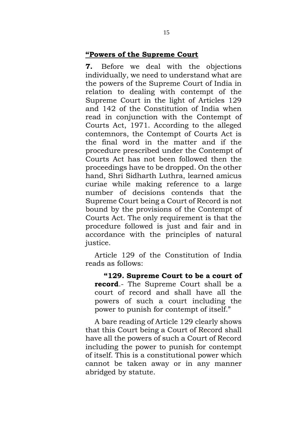## **"Powers of the Supreme Court**

**7.** Before we deal with the objections individually, we need to understand what are the powers of the Supreme Court of India in relation to dealing with contempt of the Supreme Court in the light of Articles 129 and 142 of the Constitution of India when read in conjunction with the Contempt of Courts Act, 1971. According to the alleged contemnors, the Contempt of Courts Act is the final word in the matter and if the procedure prescribed under the Contempt of Courts Act has not been followed then the proceedings have to be dropped. On the other hand, Shri Sidharth Luthra, learned amicus curiae while making reference to a large number of decisions contends that the Supreme Court being a Court of Record is not bound by the provisions of the Contempt of Courts Act. The only requirement is that the procedure followed is just and fair and in accordance with the principles of natural justice.

Article 129 of the Constitution of India reads as follows:

**"129. Supreme Court to be a court of record**.- The Supreme Court shall be a court of record and shall have all the powers of such a court including the power to punish for contempt of itself."

A bare reading of Article 129 clearly shows that this Court being a Court of Record shall have all the powers of such a Court of Record including the power to punish for contempt of itself. This is a constitutional power which cannot be taken away or in any manner abridged by statute.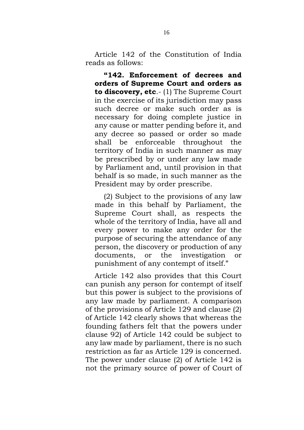Article 142 of the Constitution of India reads as follows:

**"142. Enforcement of decrees and orders of Supreme Court and orders as to discovery, etc**.- (1) The Supreme Court in the exercise of its jurisdiction may pass such decree or make such order as is necessary for doing complete justice in any cause or matter pending before it, and any decree so passed or order so made shall be enforceable throughout the territory of India in such manner as may be prescribed by or under any law made by Parliament and, until provision in that behalf is so made, in such manner as the President may by order prescribe.

(2) Subject to the provisions of any law made in this behalf by Parliament, the Supreme Court shall, as respects the whole of the territory of India, have all and every power to make any order for the purpose of securing the attendance of any person, the discovery or production of any documents, or the investigation or punishment of any contempt of itself."

Article 142 also provides that this Court can punish any person for contempt of itself but this power is subject to the provisions of any law made by parliament. A comparison of the provisions of Article 129 and clause (2) of Article 142 clearly shows that whereas the founding fathers felt that the powers under clause 92) of Article 142 could be subject to any law made by parliament, there is no such restriction as far as Article 129 is concerned. The power under clause (2) of Article 142 is not the primary source of power of Court of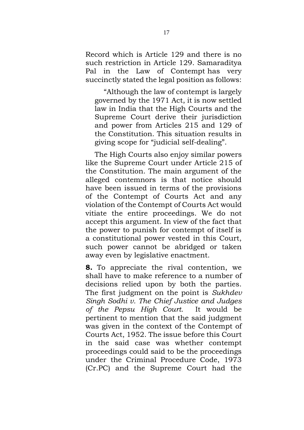Record which is Article 129 and there is no such restriction in Article 129. Samaraditya Pal in the Law of Contempt has very succinctly stated the legal position as follows:

"Although the law of contempt is largely governed by the 1971 Act, it is now settled law in India that the High Courts and the Supreme Court derive their jurisdiction and power from Articles 215 and 129 of the Constitution. This situation results in giving scope for "judicial self-dealing".

The High Courts also enjoy similar powers like the Supreme Court under Article 215 of the Constitution. The main argument of the alleged contemnors is that notice should have been issued in terms of the provisions of the Contempt of Courts Act and any violation of the Contempt of Courts Act would vitiate the entire proceedings. We do not accept this argument. In view of the fact that the power to punish for contempt of itself is a constitutional power vested in this Court, such power cannot be abridged or taken away even by legislative enactment.

**8.** To appreciate the rival contention, we shall have to make reference to a number of decisions relied upon by both the parties. The first judgment on the point is *Sukhdev Singh Sodhi v. The Chief Justice and Judges of the Pepsu High Court*. It would be pertinent to mention that the said judgment was given in the context of the Contempt of Courts Act, 1952. The issue before this Court in the said case was whether contempt proceedings could said to be the proceedings under the Criminal Procedure Code, 1973 (Cr.PC) and the Supreme Court had the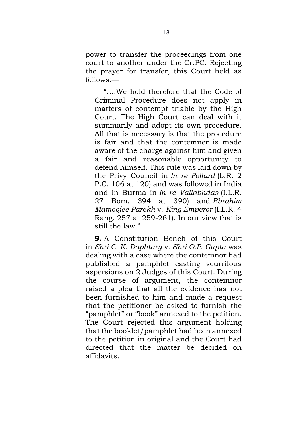power to transfer the proceedings from one court to another under the Cr.PC. Rejecting the prayer for transfer, this Court held as follows:—

"….We hold therefore that the Code of Criminal Procedure does not apply in matters of contempt triable by the High Court. The High Court can deal with it summarily and adopt its own procedure. All that is necessary is that the procedure is fair and that the contemner is made aware of the charge against him and given a fair and reasonable opportunity to defend himself. This rule was laid down by the Privy Council in *In re Pollard* (L.R. 2 P.C. 106 at 120) and was followed in India and in Burma in *In re Vallabhdas* (I.L.R. 27 Bom. 394 at 390) and *Ebrahim Mamoojee Parekh* v. *King Emperor* (I.L.R. 4 Rang. 257 at 259-261). In our view that is still the law."

**9.** A Constitution Bench of this Court in *Shri C. K. Daphtary* v. *Shri O.P. Gupta* was dealing with a case where the contemnor had published a pamphlet casting scurrilous aspersions on 2 Judges of this Court. During the course of argument, the contemnor raised a plea that all the evidence has not been furnished to him and made a request that the petitioner be asked to furnish the "pamphlet" or "book" annexed to the petition. The Court rejected this argument holding that the booklet/pamphlet had been annexed to the petition in original and the Court had directed that the matter be decided on affidavits.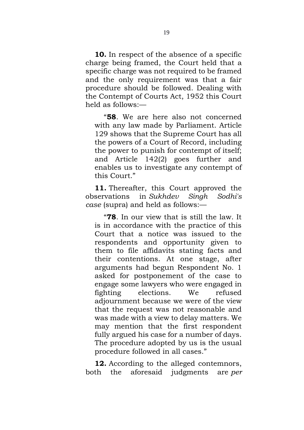**10.** In respect of the absence of a specific charge being framed, the Court held that a specific charge was not required to be framed and the only requirement was that a fair procedure should be followed. Dealing with the Contempt of Courts Act, 1952 this Court held as follows:—

"**58**. We are here also not concerned with any law made by Parliament. Article 129 shows that the Supreme Court has all the powers of a Court of Record, including the power to punish for contempt of itself; and Article 142(2) goes further and enables us to investigate any contempt of this Court."

**11.** Thereafter, this Court approved the observations in *Sukhdev Singh Sodhi's case* (supra) and held as follows:—

"**78**. In our view that is still the law. It is in accordance with the practice of this Court that a notice was issued to the respondents and opportunity given to them to file affidavits stating facts and their contentions. At one stage, after arguments had begun Respondent No. 1 asked for postponement of the case to engage some lawyers who were engaged in fighting elections. We refused adjournment because we were of the view that the request was not reasonable and was made with a view to delay matters. We may mention that the first respondent fully argued his case for a number of days. The procedure adopted by us is the usual procedure followed in all cases."

**12.** According to the alleged contemnors, both the aforesaid judgments are *per*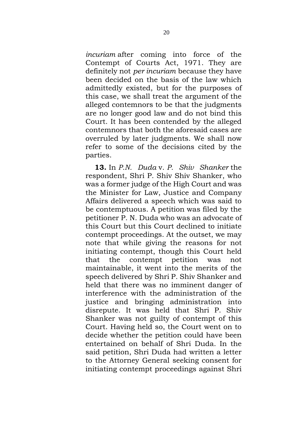*incuriam* after coming into force of the Contempt of Courts Act, 1971. They are definitely not *per incuriam* because they have been decided on the basis of the law which admittedly existed, but for the purposes of this case, we shall treat the argument of the alleged contemnors to be that the judgments are no longer good law and do not bind this Court. It has been contended by the alleged contemnors that both the aforesaid cases are overruled by later judgments. We shall now refer to some of the decisions cited by the parties.

**13.** In *P.N. Duda* v. *P. Shiv Shanker* the respondent, Shri P. Shiv Shiv Shanker, who was a former judge of the High Court and was the Minister for Law, Justice and Company Affairs delivered a speech which was said to be contemptuous. A petition was filed by the petitioner P. N. Duda who was an advocate of this Court but this Court declined to initiate contempt proceedings. At the outset, we may note that while giving the reasons for not initiating contempt, though this Court held that the contempt petition was not maintainable, it went into the merits of the speech delivered by Shri P. Shiv Shanker and held that there was no imminent danger of interference with the administration of the justice and bringing administration into disrepute. It was held that Shri P. Shiv Shanker was not guilty of contempt of this Court. Having held so, the Court went on to decide whether the petition could have been entertained on behalf of Shri Duda. In the said petition, Shri Duda had written a letter to the Attorney General seeking consent for initiating contempt proceedings against Shri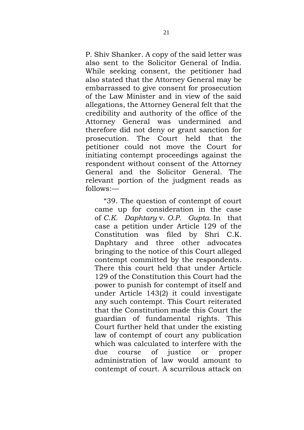P. Shiv Shanker. A copy of the said letter was also sent to the Solicitor General of India. While seeking consent, the petitioner had also stated that the Attorney General may be embarrassed to give consent for prosecution of the Law Minister and in view of the said allegations, the Attorney General felt that the credibility and authority of the office of the Attorney General was undermined and therefore did not deny or grant sanction for prosecution. The Court held that the petitioner could not move the Court for initiating contempt proceedings against the respondent without consent of the Attorney General and the Solicitor General. The relevant portion of the judgment reads as follows:—

"39. The question of contempt of court came up for consideration in the case of *C.K. Daphtary* v. *O.P. Gupta.* In that case a petition under Article 129 of the Constitution was filed by Shri C.K. Daphtary and three other advocates bringing to the notice of this Court alleged contempt committed by the respondents. There this court held that under Article 129 of the Constitution this Court had the power to punish for contempt of itself and under Article 143(2) it could investigate any such contempt. This Court reiterated that the Constitution made this Court the guardian of fundamental rights. This Court further held that under the existing law of contempt of court any publication which was calculated to interfere with the due course of justice or proper administration of law would amount to contempt of court. A scurrilous attack on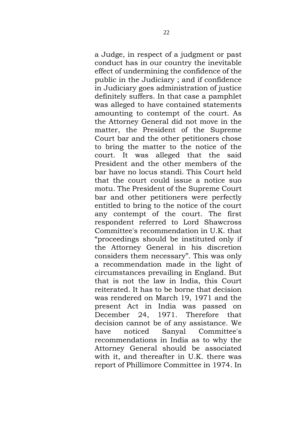a Judge, in respect of a judgment or past conduct has in our country the inevitable effect of undermining the confidence of the public in the Judiciary ; and if confidence in Judiciary goes administration of justice definitely suffers. In that case a pamphlet was alleged to have contained statements amounting to contempt of the court. As the Attorney General did not move in the matter, the President of the Supreme Court bar and the other petitioners chose to bring the matter to the notice of the court. It was alleged that the said President and the other members of the bar have no locus standi. This Court held that the court could issue a notice suo motu. The President of the Supreme Court bar and other petitioners were perfectly entitled to bring to the notice of the court any contempt of the court. The first respondent referred to Lord Shawcross Committee's recommendation in U.K. that "proceedings should be instituted only if the Attorney General in his discretion considers them necessary". This was only a recommendation made in the light of circumstances prevailing in England. But that is not the law in India, this Court reiterated. It has to be borne that decision was rendered on March 19, 1971 and the present Act in India was passed on December 24, 1971. Therefore that decision cannot be of any assistance. We have noticed Sanyal Committee's recommendations in India as to why the Attorney General should be associated with it, and thereafter in U.K. there was report of Phillimore Committee in 1974. In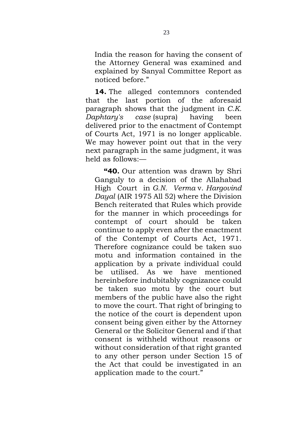India the reason for having the consent of the Attorney General was examined and explained by Sanyal Committee Report as noticed before."

**14.** The alleged contemnors contended that the last portion of the aforesaid paragraph shows that the judgment in *C.K. Daphtary's case* (supra) having been delivered prior to the enactment of Contempt of Courts Act, 1971 is no longer applicable. We may however point out that in the very next paragraph in the same judgment, it was held as follows:—

**"40.** Our attention was drawn by Shri Ganguly to a decision of the Allahabad High Court in *G.N. Verma* v. *Hargovind Dayal* (AIR 1975 All 52) where the Division Bench reiterated that Rules which provide for the manner in which proceedings for contempt of court should be taken continue to apply even after the enactment of the Contempt of Courts Act, 1971. Therefore cognizance could be taken suo motu and information contained in the application by a private individual could be utilised. As we have mentioned hereinbefore indubitably cognizance could be taken suo motu by the court but members of the public have also the right to move the court. That right of bringing to the notice of the court is dependent upon consent being given either by the Attorney General or the Solicitor General and if that consent is withheld without reasons or without consideration of that right granted to any other person under Section 15 of the Act that could be investigated in an application made to the court."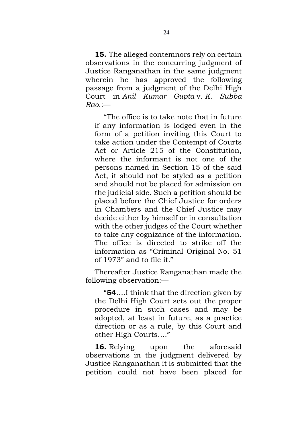**15.** The alleged contemnors rely on certain observations in the concurring judgment of Justice Ranganathan in the same judgment wherein he has approved the following passage from a judgment of the Delhi High Court in *Anil Kumar Gupta* v. *K. Subba Rao*.:—

"The office is to take note that in future if any information is lodged even in the form of a petition inviting this Court to take action under the Contempt of Courts Act or Article 215 of the Constitution, where the informant is not one of the persons named in Section 15 of the said Act, it should not be styled as a petition and should not be placed for admission on the judicial side. Such a petition should be placed before the Chief Justice for orders in Chambers and the Chief Justice may decide either by himself or in consultation with the other judges of the Court whether to take any cognizance of the information. The office is directed to strike off the information as "Criminal Original No. 51 of 1973" and to file it."

Thereafter Justice Ranganathan made the following observation:—

"**54**….I think that the direction given by the Delhi High Court sets out the proper procedure in such cases and may be adopted, at least in future, as a practice direction or as a rule, by this Court and other High Courts…."

**16.** Relying upon the aforesaid observations in the judgment delivered by Justice Ranganathan it is submitted that the petition could not have been placed for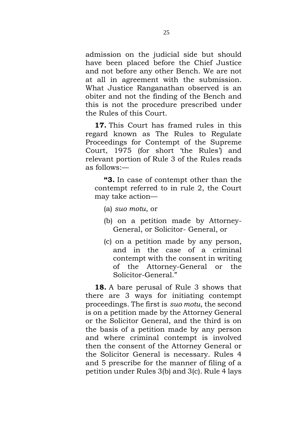admission on the judicial side but should have been placed before the Chief Justice and not before any other Bench. We are not at all in agreement with the submission. What Justice Ranganathan observed is an obiter and not the finding of the Bench and this is not the procedure prescribed under the Rules of this Court.

**17.** This Court has framed rules in this regard known as The Rules to Regulate Proceedings for Contempt of the Supreme Court, 1975 (for short 'the Rules') and relevant portion of Rule 3 of the Rules reads as follows:—

**"3.** In case of contempt other than the contempt referred to in rule 2, the Court may take action—

- (a) *suo motu*, or
- (b) on a petition made by Attorney-General, or Solicitor- General, or
- (c) on a petition made by any person, and in the case of a criminal contempt with the consent in writing of the Attorney-General or the Solicitor-General."

**18.** A bare perusal of Rule 3 shows that there are 3 ways for initiating contempt proceedings. The first is *suo motu*, the second is on a petition made by the Attorney General or the Solicitor General, and the third is on the basis of a petition made by any person and where criminal contempt is involved then the consent of the Attorney General or the Solicitor General is necessary. Rules 4 and 5 prescribe for the manner of filing of a petition under Rules 3(b) and 3(c). Rule 4 lays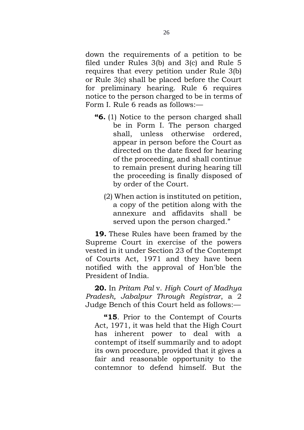down the requirements of a petition to be filed under Rules 3(b) and 3(c) and Rule 5 requires that every petition under Rule 3(b) or Rule 3(c) shall be placed before the Court for preliminary hearing. Rule 6 requires notice to the person charged to be in terms of Form I. Rule 6 reads as follows:—

- **"6.** (1) Notice to the person charged shall be in Form I. The person charged shall, unless otherwise ordered, appear in person before the Court as directed on the date fixed for hearing of the proceeding, and shall continue to remain present during hearing till the proceeding is finally disposed of by order of the Court.
	- (2) When action is instituted on petition, a copy of the petition along with the annexure and affidavits shall be served upon the person charged."

**19.** These Rules have been framed by the Supreme Court in exercise of the powers vested in it under Section 23 of the Contempt of Courts Act, 1971 and they have been notified with the approval of Hon'ble the President of India.

**20.** In *Pritam Pal* v. *High Court of Madhya Pradesh, Jabalpur Through Registrar*, a 2 Judge Bench of this Court held as follows:—

**"15**. Prior to the Contempt of Courts Act, 1971, it was held that the High Court has inherent power to deal with contempt of itself summarily and to adopt its own procedure, provided that it gives a fair and reasonable opportunity to the contemnor to defend himself. But the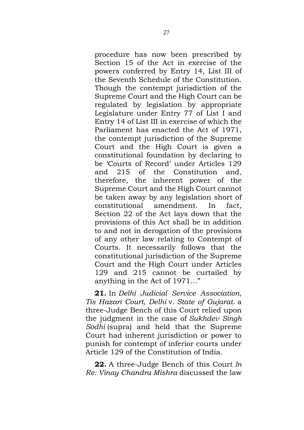procedure has now been prescribed by Section 15 of the Act in exercise of the powers conferred by Entry 14, List III of the Seventh Schedule of the Constitution. Though the contempt jurisdiction of the Supreme Court and the High Court can be regulated by legislation by appropriate Legislature under Entry 77 of List I and Entry 14 of List III in exercise of which the Parliament has enacted the Act of 1971, the contempt jurisdiction of the Supreme Court and the High Court is given a constitutional foundation by declaring to be 'Courts of Record' under Articles 129 and 215 of the Constitution and, therefore, the inherent power of the Supreme Court and the High Court cannot be taken away by any legislation short of constitutional amendment. In fact, Section 22 of the Act lays down that the provisions of this Act shall be in addition to and not in derogation of the provisions of any other law relating to Contempt of Courts. It necessarily follows that the constitutional jurisdiction of the Supreme Court and the High Court under Articles 129 and 215 cannot be curtailed by anything in the Act of 1971…"

**21.** In *Delhi Judicial Service Association, Tis Hazari Court, Delhi* v. *State of Gujarat*. a three-Judge Bench of this Court relied upon the judgment in the case of *Sukhdev Singh Sodhi* (supra) and held that the Supreme Court had inherent jurisdiction or power to punish for contempt of inferior courts under Article 129 of the Constitution of India.

**22.** A three-Judge Bench of this Court *In Re: Vinay Chandra Mishra* discussed the law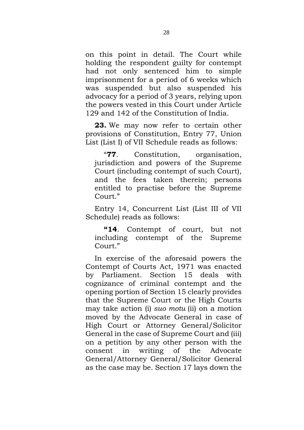on this point in detail. The Court while holding the respondent guilty for contempt had not only sentenced him to simple imprisonment for a period of 6 weeks which was suspended but also suspended his advocacy for a period of 3 years, relying upon the powers vested in this Court under Article 129 and 142 of the Constitution of India.

**23.** We may now refer to certain other provisions of Constitution, Entry 77, Union List (List I) of VII Schedule reads as follows:

"**77**. Constitution, organisation, jurisdiction and powers of the Supreme Court (including contempt of such Court), and the fees taken therein; persons entitled to practise before the Supreme Court."

Entry 14, Concurrent List (List III of VII Schedule) reads as follows:

**"14**. Contempt of court, but not including contempt of the Supreme Court."

In exercise of the aforesaid powers the Contempt of Courts Act, 1971 was enacted by Parliament. Section 15 deals with cognizance of criminal contempt and the opening portion of Section 15 clearly provides that the Supreme Court or the High Courts may take action (i) *suo motu* (ii) on a motion moved by the Advocate General in case of High Court or Attorney General/Solicitor General in the case of Supreme Court and (iii) on a petition by any other person with the consent in writing of the Advocate General/Attorney General/Solicitor General as the case may be. Section 17 lays down the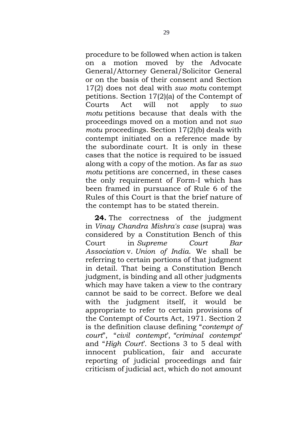procedure to be followed when action is taken on a motion moved by the Advocate General/Attorney General/Solicitor General or on the basis of their consent and Section 17(2) does not deal with *suo motu* contempt petitions. Section 17(2)(a) of the Contempt of Courts Act will not apply to *suo motu* petitions because that deals with the proceedings moved on a motion and not *suo motu* proceedings. Section 17(2)(b) deals with contempt initiated on a reference made by the subordinate court. It is only in these cases that the notice is required to be issued along with a copy of the motion. As far as *suo motu* petitions are concerned, in these cases the only requirement of Form-I which has been framed in pursuance of Rule 6 of the Rules of this Court is that the brief nature of the contempt has to be stated therein.

**24.** The correctness of the judgment in *Vinay Chandra Mishra's case* (supra) was considered by a Constitution Bench of this Court in *Supreme Court Bar Association* v. *Union of India*. We shall be referring to certain portions of that judgment in detail. That being a Constitution Bench judgment, is binding and all other judgments which may have taken a view to the contrary cannot be said to be correct. Before we deal with the judgment itself, it would be appropriate to refer to certain provisions of the Contempt of Courts Act, 1971. Section 2 is the definition clause defining "*contempt of court*", "*civil contempt*', *"criminal contempt*' and "*High Court*'. Sections 3 to 5 deal with innocent publication, fair and accurate reporting of judicial proceedings and fair criticism of judicial act, which do not amount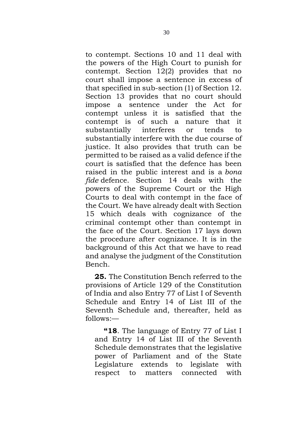to contempt. Sections 10 and 11 deal with the powers of the High Court to punish for contempt. Section 12(2) provides that no court shall impose a sentence in excess of that specified in sub-section (1) of Section 12. Section 13 provides that no court should impose a sentence under the Act for contempt unless it is satisfied that the contempt is of such a nature that it substantially interferes or tends to substantially interfere with the due course of justice. It also provides that truth can be permitted to be raised as a valid defence if the court is satisfied that the defence has been raised in the public interest and is a *bona fide* defence. Section 14 deals with the powers of the Supreme Court or the High Courts to deal with contempt in the face of the Court. We have already dealt with Section 15 which deals with cognizance of the criminal contempt other than contempt in the face of the Court. Section 17 lays down the procedure after cognizance. It is in the background of this Act that we have to read and analyse the judgment of the Constitution Bench.

**25.** The Constitution Bench referred to the provisions of Article 129 of the Constitution of India and also Entry 77 of List I of Seventh Schedule and Entry 14 of List III of the Seventh Schedule and, thereafter, held as follows:—

**"18**. The language of Entry 77 of List I and Entry 14 of List III of the Seventh Schedule demonstrates that the legislative power of Parliament and of the State Legislature extends to legislate with respect to matters connected with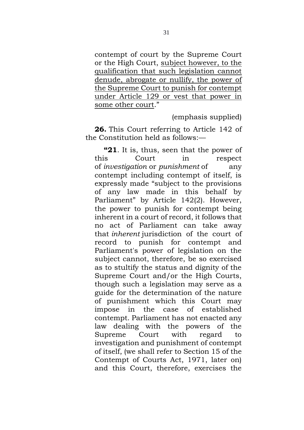contempt of court by the Supreme Court or the High Court, subject however, to the qualification that such legislation cannot denude, abrogate or nullify, the power of the Supreme Court to punish for contempt under Article 129 or vest that power in some other court."

(emphasis supplied)

**26.** This Court referring to Article 142 of the Constitution held as follows:—

**"21**. It is, thus, seen that the power of this Court in respect of *investigation* or *punishment* of any contempt including contempt of itself, is expressly made "subject to the provisions of any law made in this behalf by Parliament" by Article 142(2). However, the power to punish for contempt being inherent in a court of record, it follows that no act of Parliament can take away that *inherent* jurisdiction of the court of record to punish for contempt and Parliament's power of legislation on the subject cannot, therefore, be so exercised as to stultify the status and dignity of the Supreme Court and/or the High Courts, though such a legislation may serve as a guide for the determination of the nature of punishment which this Court may impose in the case of established contempt. Parliament has not enacted any law dealing with the powers of the Supreme Court with regard to investigation and punishment of contempt of itself, (we shall refer to Section 15 of the Contempt of Courts Act, 1971, later on) and this Court, therefore, exercises the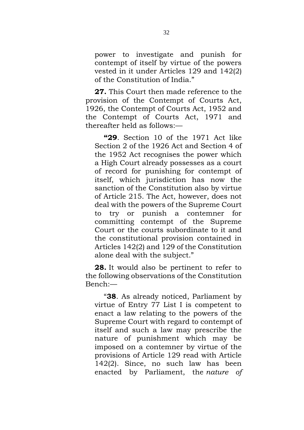power to investigate and punish for contempt of itself by virtue of the powers vested in it under Articles 129 and 142(2) of the Constitution of India."

**27.** This Court then made reference to the provision of the Contempt of Courts Act, 1926, the Contempt of Courts Act, 1952 and the Contempt of Courts Act, 1971 and thereafter held as follows:—

**"29**. Section 10 of the 1971 Act like Section 2 of the 1926 Act and Section 4 of the 1952 Act recognises the power which a High Court already possesses as a court of record for punishing for contempt of itself, which jurisdiction has now the sanction of the Constitution also by virtue of Article 215. The Act, however, does not deal with the powers of the Supreme Court to try or punish a contemner for committing contempt of the Supreme Court or the courts subordinate to it and the constitutional provision contained in Articles 142(2) and 129 of the Constitution alone deal with the subject."

**28.** It would also be pertinent to refer to the following observations of the Constitution Bench:—

"**38**. As already noticed, Parliament by virtue of Entry 77 List I is competent to enact a law relating to the powers of the Supreme Court with regard to contempt of itself and such a law may prescribe the nature of punishment which may be imposed on a contemner by virtue of the provisions of Article 129 read with Article 142(2). Since, no such law has been enacted by Parliament, the *nature of*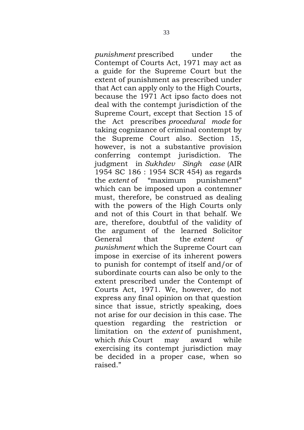*punishment* prescribed under the Contempt of Courts Act, 1971 may act as a guide for the Supreme Court but the extent of punishment as prescribed under that Act can apply only to the High Courts, because the 1971 Act ipso facto does not deal with the contempt jurisdiction of the Supreme Court, except that Section 15 of the Act prescribes *procedural mode* for taking cognizance of criminal contempt by the Supreme Court also. Section 15, however, is not a substantive provision conferring contempt jurisdiction. The judgment in *Sukhdev Singh case* (AIR 1954 SC 186 : 1954 SCR 454) as regards the *extent* of "maximum punishment" which can be imposed upon a contemner must, therefore, be construed as dealing with the powers of the High Courts only and not of this Court in that behalf. We are, therefore, doubtful of the validity of the argument of the learned Solicitor General that the *extent of punishment* which the Supreme Court can impose in exercise of its inherent powers to punish for contempt of itself and/or of subordinate courts can also be only to the extent prescribed under the Contempt of Courts Act, 1971. We, however, do not express any final opinion on that question since that issue, strictly speaking, does not arise for our decision in this case. The question regarding the restriction or limitation on the *extent* of punishment, which *this* Court may award while exercising its contempt jurisdiction may be decided in a proper case, when so raised."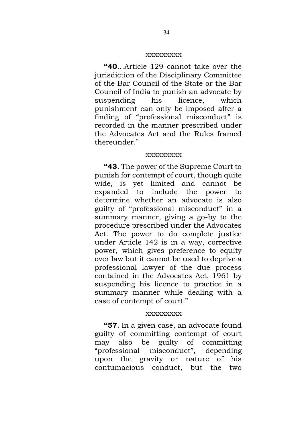### xxxxxxxxx

**"40**…Article 129 cannot take over the jurisdiction of the Disciplinary Committee of the Bar Council of the State or the Bar Council of India to punish an advocate by suspending his licence, which punishment can only be imposed after a finding of "professional misconduct" is recorded in the manner prescribed under the Advocates Act and the Rules framed thereunder."

## xxxxxxxxx

**"43**. The power of the Supreme Court to punish for contempt of court, though quite wide, is yet limited and cannot be expanded to include the power to determine whether an advocate is also guilty of "professional misconduct" in a summary manner, giving a go-by to the procedure prescribed under the Advocates Act. The power to do complete justice under Article 142 is in a way, corrective power, which gives preference to equity over law but it cannot be used to deprive a professional lawyer of the due process contained in the Advocates Act, 1961 by suspending his licence to practice in a summary manner while dealing with a case of contempt of court."

#### xxxxxxxxx

**"57**. In a given case, an advocate found guilty of committing contempt of court may also be guilty of committing "professional misconduct", depending upon the gravity or nature of his contumacious conduct, but the two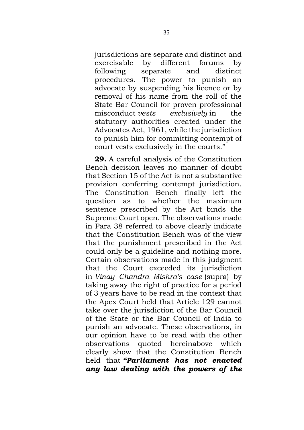jurisdictions are separate and distinct and exercisable by different forums by following separate and distinct procedures. The power to punish an advocate by suspending his licence or by removal of his name from the roll of the State Bar Council for proven professional misconduct *vests exclusively* in the statutory authorities created under the Advocates Act, 1961, while the jurisdiction to punish him for committing contempt of court vests exclusively in the courts."

**29.** A careful analysis of the Constitution Bench decision leaves no manner of doubt that Section 15 of the Act is not a substantive provision conferring contempt jurisdiction. The Constitution Bench finally left the question as to whether the maximum sentence prescribed by the Act binds the Supreme Court open. The observations made in Para 38 referred to above clearly indicate that the Constitution Bench was of the view that the punishment prescribed in the Act could only be a guideline and nothing more. Certain observations made in this judgment that the Court exceeded its jurisdiction in *Vinay Chandra Mishra's case* (supra) by taking away the right of practice for a period of 3 years have to be read in the context that the Apex Court held that Article 129 cannot take over the jurisdiction of the Bar Council of the State or the Bar Council of India to punish an advocate. These observations, in our opinion have to be read with the other observations quoted hereinabove which clearly show that the Constitution Bench held that *"Parliament has not enacted any law dealing with the powers of the*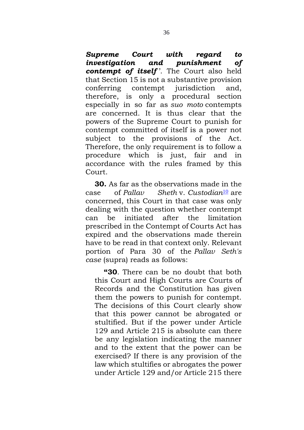*Supreme Court with regard to investigation and punishment of contempt of itself* '. The Court also held that Section 15 is not a substantive provision conferring contempt jurisdiction and, therefore, is only a procedural section especially in so far as *suo moto* contempts are concerned. It is thus clear that the powers of the Supreme Court to punish for contempt committed of itself is a power not subject to the provisions of the Act. Therefore, the only requirement is to follow a procedure which is just, fair and in accordance with the rules framed by this Court.

**30.** As far as the observations made in the case of *Pallav Sheth* v. *Custodian*[10](https://www.scconline.com/Members/SearchResult.aspx#FN0010) are concerned, this Court in that case was only dealing with the question whether contempt can be initiated after the limitation prescribed in the Contempt of Courts Act has expired and the observations made therein have to be read in that context only. Relevant portion of Para 30 of the *Pallav Seth's case* (supra) reads as follows:

**"30**. There can be no doubt that both this Court and High Courts are Courts of Records and the Constitution has given them the powers to punish for contempt. The decisions of this Court clearly show that this power cannot be abrogated or stultified. But if the power under Article 129 and Article 215 is absolute can there be any legislation indicating the manner and to the extent that the power can be exercised? If there is any provision of the law which stultifies or abrogates the power under Article 129 and/or Article 215 there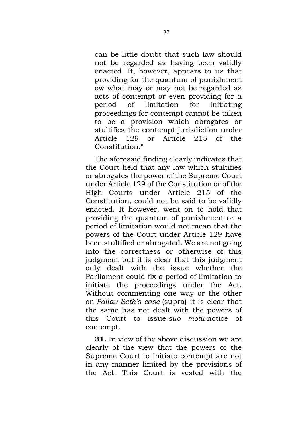can be little doubt that such law should not be regarded as having been validly enacted. It, however, appears to us that providing for the quantum of punishment ow what may or may not be regarded as acts of contempt or even providing for a period of limitation for initiating proceedings for contempt cannot be taken to be a provision which abrogates or stultifies the contempt jurisdiction under Article 129 or Article 215 of the Constitution."

The aforesaid finding clearly indicates that the Court held that any law which stultifies or abrogates the power of the Supreme Court under Article 129 of the Constitution or of the High Courts under Article 215 of the Constitution, could not be said to be validly enacted. It however, went on to hold that providing the quantum of punishment or a period of limitation would not mean that the powers of the Court under Article 129 have been stultified or abrogated. We are not going into the correctness or otherwise of this judgment but it is clear that this judgment only dealt with the issue whether the Parliament could fix a period of limitation to initiate the proceedings under the Act. Without commenting one way or the other on *Pallav Seth's case* (supra) it is clear that the same has not dealt with the powers of this Court to issue *suo motu* notice of contempt.

**31.** In view of the above discussion we are clearly of the view that the powers of the Supreme Court to initiate contempt are not in any manner limited by the provisions of the Act. This Court is vested with the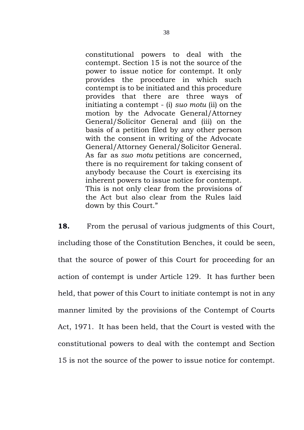constitutional powers to deal with the contempt. Section 15 is not the source of the power to issue notice for contempt. It only provides the procedure in which such contempt is to be initiated and this procedure provides that there are three ways of initiating a contempt - (i) *suo motu* (ii) on the motion by the Advocate General/Attorney General/Solicitor General and (iii) on the basis of a petition filed by any other person with the consent in writing of the Advocate General/Attorney General/Solicitor General. As far as *suo motu* petitions are concerned, there is no requirement for taking consent of anybody because the Court is exercising its inherent powers to issue notice for contempt. This is not only clear from the provisions of the Act but also clear from the Rules laid down by this Court."

**18.** From the perusal of various judgments of this Court, including those of the Constitution Benches, it could be seen, that the source of power of this Court for proceeding for an action of contempt is under Article 129. It has further been held, that power of this Court to initiate contempt is not in any manner limited by the provisions of the Contempt of Courts Act, 1971. It has been held, that the Court is vested with the constitutional powers to deal with the contempt and Section 15 is not the source of the power to issue notice for contempt.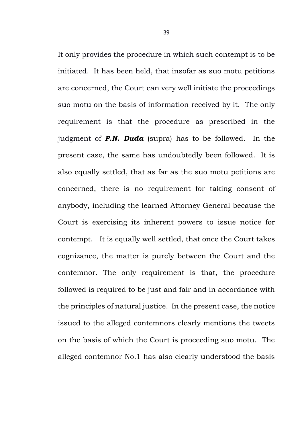It only provides the procedure in which such contempt is to be initiated. It has been held, that insofar as suo motu petitions are concerned, the Court can very well initiate the proceedings suo motu on the basis of information received by it. The only requirement is that the procedure as prescribed in the judgment of *P.N. Duda* (supra) has to be followed. In the present case, the same has undoubtedly been followed. It is also equally settled, that as far as the suo motu petitions are concerned, there is no requirement for taking consent of anybody, including the learned Attorney General because the Court is exercising its inherent powers to issue notice for contempt. It is equally well settled, that once the Court takes cognizance, the matter is purely between the Court and the contemnor. The only requirement is that, the procedure followed is required to be just and fair and in accordance with the principles of natural justice. In the present case, the notice issued to the alleged contemnors clearly mentions the tweets on the basis of which the Court is proceeding suo motu. The alleged contemnor No.1 has also clearly understood the basis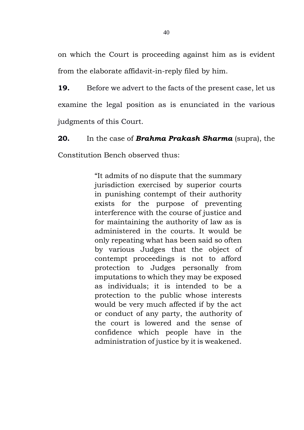on which the Court is proceeding against him as is evident from the elaborate affidavit-in-reply filed by him.

**19.** Before we advert to the facts of the present case, let us examine the legal position as is enunciated in the various judgments of this Court.

**20.** In the case of *Brahma Prakash Sharma* (supra), the Constitution Bench observed thus:

> "It admits of no dispute that the summary jurisdiction exercised by superior courts in punishing contempt of their authority exists for the purpose of preventing interference with the course of justice and for maintaining the authority of law as is administered in the courts. It would be only repeating what has been said so often by various Judges that the object of contempt proceedings is not to afford protection to Judges personally from imputations to which they may be exposed as individuals; it is intended to be a protection to the public whose interests would be very much affected if by the act or conduct of any party, the authority of the court is lowered and the sense of confidence which people have in the administration of justice by it is weakened.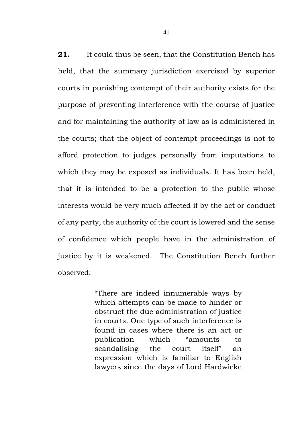**21.** It could thus be seen, that the Constitution Bench has held, that the summary jurisdiction exercised by superior courts in punishing contempt of their authority exists for the purpose of preventing interference with the course of justice and for maintaining the authority of law as is administered in the courts; that the object of contempt proceedings is not to afford protection to judges personally from imputations to which they may be exposed as individuals. It has been held, that it is intended to be a protection to the public whose interests would be very much affected if by the act or conduct of any party, the authority of the court is lowered and the sense of confidence which people have in the administration of justice by it is weakened. The Constitution Bench further observed:

> "There are indeed innumerable ways by which attempts can be made to hinder or obstruct the due administration of justice in courts. One type of such interference is found in cases where there is an act or publication which "amounts to scandalising the court itself" an expression which is familiar to English lawyers since the days of Lord Hardwicke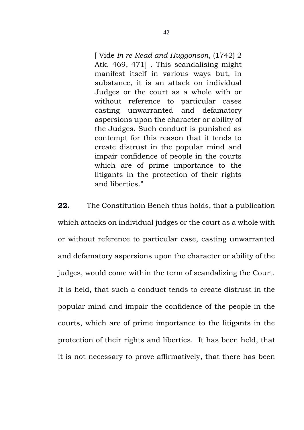[ Vide *In re Read and Huggonson*, (1742) 2 Atk. 469, 471] . This scandalising might manifest itself in various ways but, in substance, it is an attack on individual Judges or the court as a whole with or without reference to particular cases casting unwarranted and defamatory aspersions upon the character or ability of the Judges. Such conduct is punished as contempt for this reason that it tends to create distrust in the popular mind and impair confidence of people in the courts which are of prime importance to the litigants in the protection of their rights and liberties."

**22.** The Constitution Bench thus holds, that a publication which attacks on individual judges or the court as a whole with or without reference to particular case, casting unwarranted and defamatory aspersions upon the character or ability of the judges, would come within the term of scandalizing the Court. It is held, that such a conduct tends to create distrust in the popular mind and impair the confidence of the people in the courts, which are of prime importance to the litigants in the protection of their rights and liberties. It has been held, that it is not necessary to prove affirmatively, that there has been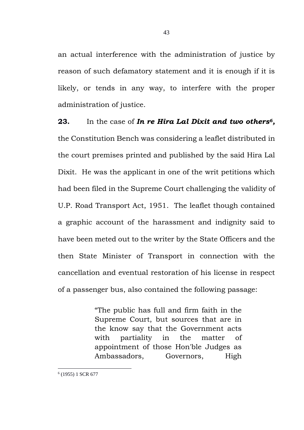an actual interference with the administration of justice by reason of such defamatory statement and it is enough if it is likely, or tends in any way, to interfere with the proper administration of justice.

**23.** In the case of *In re Hira Lal Dixit and two others<sup>6</sup> ,*  the Constitution Bench was considering a leaflet distributed in the court premises printed and published by the said Hira Lal Dixit. He was the applicant in one of the writ petitions which had been filed in the Supreme Court challenging the validity of U.P. Road Transport Act, 1951. The leaflet though contained a graphic account of the harassment and indignity said to have been meted out to the writer by the State Officers and the then State Minister of Transport in connection with the cancellation and eventual restoration of his license in respect of a passenger bus, also contained the following passage:

> "The public has full and firm faith in the Supreme Court, but sources that are in the know say that the Government acts with partiality in the matter of appointment of those Hon'ble Judges as Ambassadors, Governors, High

<sup>6</sup> (1955) 1 SCR 677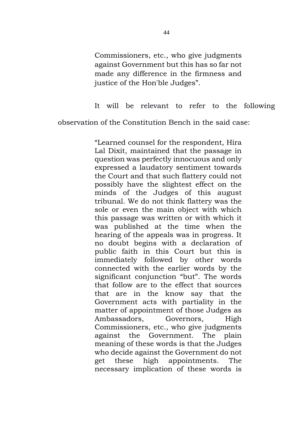Commissioners, etc., who give judgments against Government but this has so far not made any difference in the firmness and justice of the Hon'ble Judges".

It will be relevant to refer to the following

observation of the Constitution Bench in the said case:

"Learned counsel for the respondent, Hira Lal Dixit, maintained that the passage in question was perfectly innocuous and only expressed a laudatory sentiment towards the Court and that such flattery could not possibly have the slightest effect on the minds of the Judges of this august tribunal. We do not think flattery was the sole or even the main object with which this passage was written or with which it was published at the time when the hearing of the appeals was in progress. It no doubt begins with a declaration of public faith in this Court but this is immediately followed by other words connected with the earlier words by the significant conjunction "but". The words that follow are to the effect that sources that are in the know say that the Government acts with partiality in the matter of appointment of those Judges as Ambassadors, Governors, High Commissioners, etc., who give judgments against the Government. The plain meaning of these words is that the Judges who decide against the Government do not get these high appointments. The necessary implication of these words is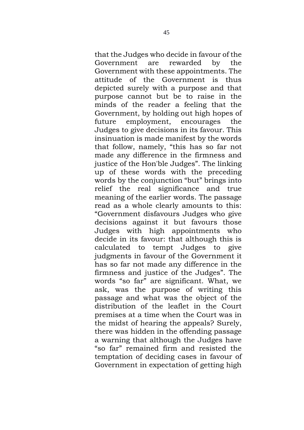that the Judges who decide in favour of the Government are rewarded by the Government with these appointments. The attitude of the Government is thus depicted surely with a purpose and that purpose cannot but be to raise in the minds of the reader a feeling that the Government, by holding out high hopes of future employment, encourages the Judges to give decisions in its favour. This insinuation is made manifest by the words that follow, namely, "this has so far not made any difference in the firmness and justice of the Hon'ble Judges". The linking up of these words with the preceding words by the conjunction "but" brings into relief the real significance and true meaning of the earlier words. The passage read as a whole clearly amounts to this: "Government disfavours Judges who give decisions against it but favours those Judges with high appointments who decide in its favour: that although this is calculated to tempt Judges to give judgments in favour of the Government it has so far not made any difference in the firmness and justice of the Judges". The words "so far" are significant. What, we ask, was the purpose of writing this passage and what was the object of the distribution of the leaflet in the Court premises at a time when the Court was in the midst of hearing the appeals? Surely, there was hidden in the offending passage a warning that although the Judges have "so far" remained firm and resisted the temptation of deciding cases in favour of Government in expectation of getting high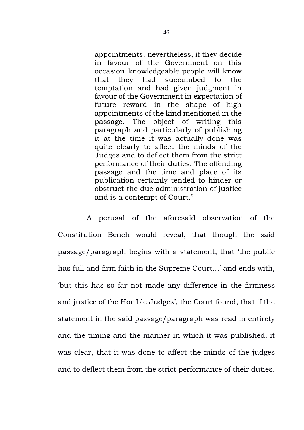appointments, nevertheless, if they decide in favour of the Government on this occasion knowledgeable people will know that they had succumbed to the temptation and had given judgment in favour of the Government in expectation of future reward in the shape of high appointments of the kind mentioned in the passage. The object of writing this paragraph and particularly of publishing it at the time it was actually done was quite clearly to affect the minds of the Judges and to deflect them from the strict performance of their duties. The offending passage and the time and place of its publication certainly tended to hinder or obstruct the due administration of justice and is a contempt of Court."

A perusal of the aforesaid observation of the Constitution Bench would reveal, that though the said passage/paragraph begins with a statement, that 'the public has full and firm faith in the Supreme Court…' and ends with, 'but this has so far not made any difference in the firmness and justice of the Hon'ble Judges', the Court found, that if the statement in the said passage/paragraph was read in entirety and the timing and the manner in which it was published, it was clear, that it was done to affect the minds of the judges and to deflect them from the strict performance of their duties.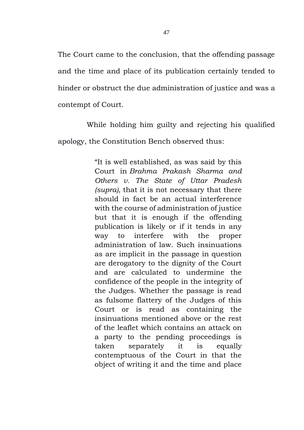The Court came to the conclusion, that the offending passage and the time and place of its publication certainly tended to hinder or obstruct the due administration of justice and was a contempt of Court.

While holding him guilty and rejecting his qualified apology, the Constitution Bench observed thus:

> "It is well established, as was said by this Court in *Brahma Prakash Sharma and Others v. The State of Uttar Pradesh (supra),* that it is not necessary that there should in fact be an actual interference with the course of administration of justice but that it is enough if the offending publication is likely or if it tends in any way to interfere with the proper administration of law. Such insinuations as are implicit in the passage in question are derogatory to the dignity of the Court and are calculated to undermine the confidence of the people in the integrity of the Judges. Whether the passage is read as fulsome flattery of the Judges of this Court or is read as containing the insinuations mentioned above or the rest of the leaflet which contains an attack on a party to the pending proceedings is taken separately it is equally contemptuous of the Court in that the object of writing it and the time and place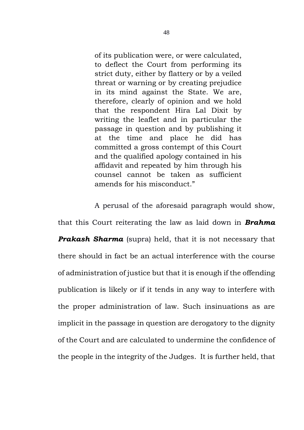of its publication were, or were calculated, to deflect the Court from performing its strict duty, either by flattery or by a veiled threat or warning or by creating prejudice in its mind against the State. We are, therefore, clearly of opinion and we hold that the respondent Hira Lal Dixit by writing the leaflet and in particular the passage in question and by publishing it at the time and place he did has committed a gross contempt of this Court and the qualified apology contained in his affidavit and repeated by him through his counsel cannot be taken as sufficient amends for his misconduct."

A perusal of the aforesaid paragraph would show, that this Court reiterating the law as laid down in *Brahma Prakash Sharma* (supra) held, that it is not necessary that there should in fact be an actual interference with the course of administration of justice but that it is enough if the offending publication is likely or if it tends in any way to interfere with the proper administration of law. Such insinuations as are implicit in the passage in question are derogatory to the dignity of the Court and are calculated to undermine the confidence of the people in the integrity of the Judges. It is further held, that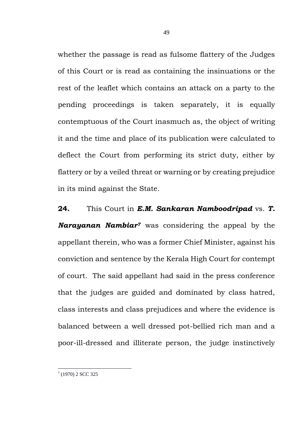whether the passage is read as fulsome flattery of the Judges of this Court or is read as containing the insinuations or the rest of the leaflet which contains an attack on a party to the pending proceedings is taken separately, it is equally contemptuous of the Court inasmuch as, the object of writing it and the time and place of its publication were calculated to deflect the Court from performing its strict duty, either by flattery or by a veiled threat or warning or by creating prejudice in its mind against the State.

**24.** This Court in *E.M. Sankaran Namboodripad* vs. *T. Narayanan Nambiar<sup>7</sup>* was considering the appeal by the appellant therein, who was a former Chief Minister, against his conviction and sentence by the Kerala High Court for contempt of court. The said appellant had said in the press conference that the judges are guided and dominated by class hatred, class interests and class prejudices and where the evidence is balanced between a well dressed pot-bellied rich man and a poor-ill-dressed and illiterate person, the judge instinctively

<sup>7</sup> (1970) 2 SCC 325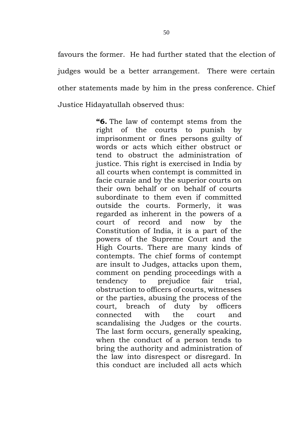favours the former. He had further stated that the election of judges would be a better arrangement. There were certain other statements made by him in the press conference. Chief Justice Hidayatullah observed thus:

> **"6.** The law of contempt stems from the right of the courts to punish by imprisonment or fines persons guilty of words or acts which either obstruct or tend to obstruct the administration of justice. This right is exercised in India by all courts when contempt is committed in facie curaie and by the superior courts on their own behalf or on behalf of courts subordinate to them even if committed outside the courts. Formerly, it was regarded as inherent in the powers of a court of record and now by the Constitution of India, it is a part of the powers of the Supreme Court and the High Courts. There are many kinds of contempts. The chief forms of contempt are insult to Judges, attacks upon them, comment on pending proceedings with a tendency to prejudice fair trial, obstruction to officers of courts, witnesses or the parties, abusing the process of the court, breach of duty by officers connected with the court and scandalising the Judges or the courts. The last form occurs, generally speaking, when the conduct of a person tends to bring the authority and administration of the law into disrespect or disregard. In this conduct are included all acts which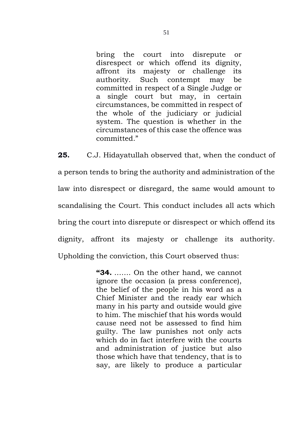bring the court into disrepute or disrespect or which offend its dignity, affront its majesty or challenge its authority. Such contempt may be committed in respect of a Single Judge or a single court but may, in certain circumstances, be committed in respect of the whole of the judiciary or judicial system. The question is whether in the circumstances of this case the offence was committed."

**25.** C.J. Hidayatullah observed that, when the conduct of a person tends to bring the authority and administration of the law into disrespect or disregard, the same would amount to scandalising the Court. This conduct includes all acts which bring the court into disrepute or disrespect or which offend its dignity, affront its majesty or challenge its authority. Upholding the conviction, this Court observed thus:

> **"34.** ……. On the other hand, we cannot ignore the occasion (a press conference), the belief of the people in his word as a Chief Minister and the ready ear which many in his party and outside would give to him. The mischief that his words would cause need not be assessed to find him guilty. The law punishes not only acts which do in fact interfere with the courts and administration of justice but also those which have that tendency, that is to say, are likely to produce a particular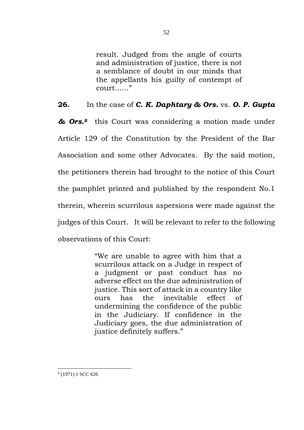result. Judged from the angle of courts and administration of justice, there is not a semblance of doubt in our minds that the appellants his guilty of contempt of court……"

**26.** In the case of *C. K. Daphtary & Ors.* vs. *O. P. Gupta* 

*& Ors. <sup>8</sup>* this Court was considering a motion made under Article 129 of the Constitution by the President of the Bar Association and some other Advocates. By the said motion, the petitioners therein had brought to the notice of this Court the pamphlet printed and published by the respondent No.1 therein, wherein scurrilous aspersions were made against the judges of this Court. It will be relevant to refer to the following observations of this Court:

> "We are unable to agree with him that a scurrilous attack on a Judge in respect of a judgment or past conduct has no adverse effect on the due administration of justice. This sort of attack in a country like ours has the inevitable effect of undermining the confidence of the public in the Judiciary. If confidence in the Judiciary goes, the due administration of justice definitely suffers."

8 (1971) 1 SCC 626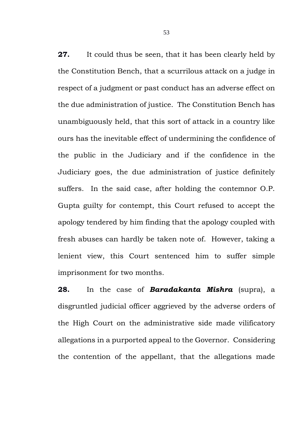**27.** It could thus be seen, that it has been clearly held by the Constitution Bench, that a scurrilous attack on a judge in respect of a judgment or past conduct has an adverse effect on the due administration of justice. The Constitution Bench has unambiguously held, that this sort of attack in a country like ours has the inevitable effect of undermining the confidence of the public in the Judiciary and if the confidence in the Judiciary goes, the due administration of justice definitely suffers. In the said case, after holding the contemnor O.P. Gupta guilty for contempt, this Court refused to accept the apology tendered by him finding that the apology coupled with fresh abuses can hardly be taken note of. However, taking a lenient view, this Court sentenced him to suffer simple imprisonment for two months.

**28.** In the case of *Baradakanta Mishra* (supra), a disgruntled judicial officer aggrieved by the adverse orders of the High Court on the administrative side made vilificatory allegations in a purported appeal to the Governor. Considering the contention of the appellant, that the allegations made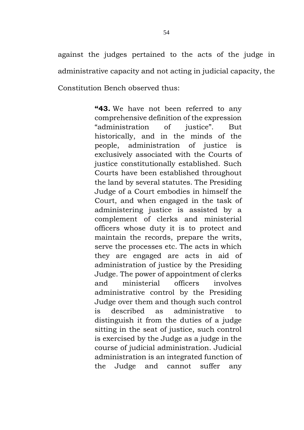against the judges pertained to the acts of the judge in administrative capacity and not acting in judicial capacity, the Constitution Bench observed thus:

> **"43.** We have not been referred to any comprehensive definition of the expression "administration of justice". But historically, and in the minds of the people, administration of justice is exclusively associated with the Courts of justice constitutionally established. Such Courts have been established throughout the land by several statutes. The Presiding Judge of a Court embodies in himself the Court, and when engaged in the task of administering justice is assisted by a complement of clerks and ministerial officers whose duty it is to protect and maintain the records, prepare the writs, serve the processes etc. The acts in which they are engaged are acts in aid of administration of justice by the Presiding Judge. The power of appointment of clerks and ministerial officers involves administrative control by the Presiding Judge over them and though such control is described as administrative to distinguish it from the duties of a judge sitting in the seat of justice, such control is exercised by the Judge as a judge in the course of judicial administration. Judicial administration is an integrated function of the Judge and cannot suffer any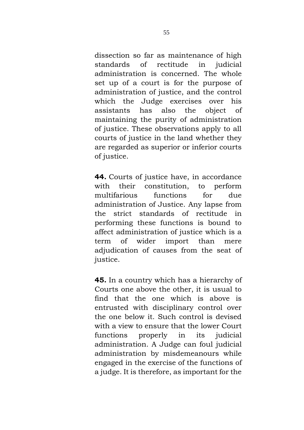dissection so far as maintenance of high standards of rectitude in judicial administration is concerned. The whole set up of a court is for the purpose of administration of justice, and the control which the Judge exercises over his assistants has also the object of maintaining the purity of administration of justice. These observations apply to all courts of justice in the land whether they are regarded as superior or inferior courts of justice.

**44.** Courts of justice have, in accordance with their constitution, to perform multifarious functions for due administration of Justice. Any lapse from the strict standards of rectitude performing these functions is bound to affect administration of justice which is a term of wider import than mere adjudication of causes from the seat of justice.

**45.** In a country which has a hierarchy of Courts one above the other, it is usual to find that the one which is above is entrusted with disciplinary control over the one below it. Such control is devised with a view to ensure that the lower Court functions properly in its judicial administration. A Judge can foul judicial administration by misdemeanours while engaged in the exercise of the functions of a judge. It is therefore, as important for the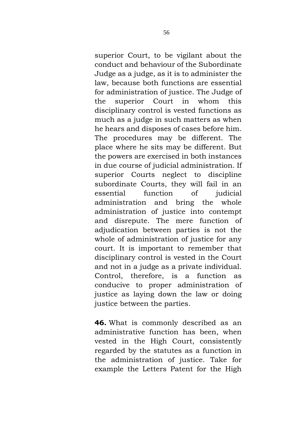superior Court, to be vigilant about the conduct and behaviour of the Subordinate Judge as a judge, as it is to administer the law, because both functions are essential for administration of justice. The Judge of the superior Court in whom this disciplinary control is vested functions as much as a judge in such matters as when he hears and disposes of cases before him. The procedures may be different. The place where he sits may be different. But the powers are exercised in both instances in due course of judicial administration. If superior Courts neglect to discipline subordinate Courts, they will fail in an essential function of judicial administration and bring the whole administration of justice into contempt and disrepute. The mere function of adjudication between parties is not the whole of administration of justice for any court. It is important to remember that disciplinary control is vested in the Court and not in a judge as a private individual. Control, therefore, is a function as conducive to proper administration of justice as laying down the law or doing justice between the parties.

**46.** What is commonly described as an administrative function has been, when vested in the High Court, consistently regarded by the statutes as a function in the administration of justice. Take for example the Letters Patent for the High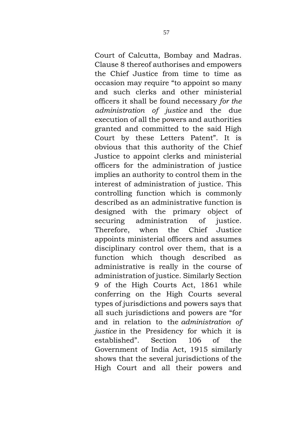Court of Calcutta, Bombay and Madras. Clause 8 thereof authorises and empowers the Chief Justice from time to time as occasion may require "to appoint so many and such clerks and other ministerial officers it shall be found necessary *for the administration of justice* and the due execution of all the powers and authorities granted and committed to the said High Court by these Letters Patent". It is obvious that this authority of the Chief Justice to appoint clerks and ministerial officers for the administration of justice implies an authority to control them in the interest of administration of justice. This controlling function which is commonly described as an administrative function is designed with the primary object of securing administration of justice. Therefore, when the Chief Justice appoints ministerial officers and assumes disciplinary control over them, that is a function which though described as administrative is really in the course of administration of justice. Similarly Section 9 of the High Courts Act, 1861 while conferring on the High Courts several types of jurisdictions and powers says that all such jurisdictions and powers are "for and in relation to the *administration of justice* in the Presidency for which it is established". Section 106 of the Government of India Act, 1915 similarly shows that the several jurisdictions of the High Court and all their powers and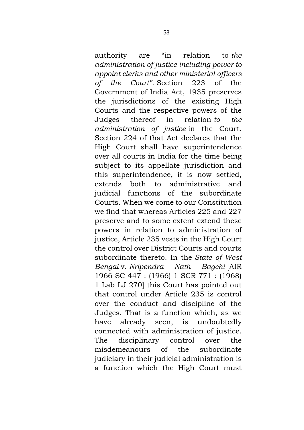authority are "in relation to *the administration of justice including power to appoint clerks and other ministerial officers of the Court".* Section 223 of the Government of India Act, 1935 preserves the jurisdictions of the existing High Courts and the respective powers of the Judges thereof in relation *to the administration of justice* in the Court. Section 224 of that Act declares that the High Court shall have superintendence over all courts in India for the time being subject to its appellate jurisdiction and this superintendence, it is now settled, extends both to administrative and judicial functions of the subordinate Courts. When we come to our Constitution we find that whereas Articles 225 and 227 preserve and to some extent extend these powers in relation to administration of justice, Article 235 vests in the High Court the control over District Courts and courts subordinate thereto. In the *State of West Bengal* v. *Nripendra Nath Bagchi* [AIR 1966 SC 447 : (1966) 1 SCR 771 : (1968) 1 Lab LJ 270] this Court has pointed out that control under Article 235 is control over the conduct and discipline of the Judges. That is a function which, as we have already seen, is undoubtedly connected with administration of justice. The disciplinary control over the misdemeanours of the subordinate judiciary in their judicial administration is a function which the High Court must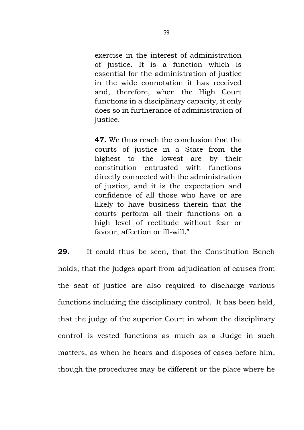exercise in the interest of administration of justice. It is a function which is essential for the administration of justice in the wide connotation it has received and, therefore, when the High Court functions in a disciplinary capacity, it only does so in furtherance of administration of justice.

**47.** We thus reach the conclusion that the courts of justice in a State from the highest to the lowest are by their constitution entrusted with functions directly connected with the administration of justice, and it is the expectation and confidence of all those who have or are likely to have business therein that the courts perform all their functions on a high level of rectitude without fear or favour, affection or ill-will."

**29.** It could thus be seen, that the Constitution Bench holds, that the judges apart from adjudication of causes from the seat of justice are also required to discharge various functions including the disciplinary control. It has been held, that the judge of the superior Court in whom the disciplinary control is vested functions as much as a Judge in such matters, as when he hears and disposes of cases before him, though the procedures may be different or the place where he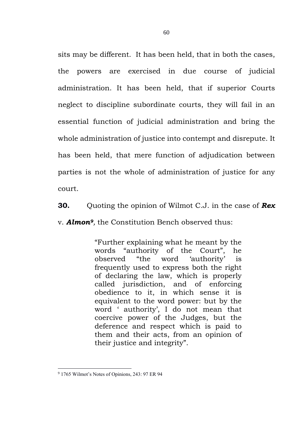sits may be different. It has been held, that in both the cases, the powers are exercised in due course of judicial administration. It has been held, that if superior Courts neglect to discipline subordinate courts, they will fail in an essential function of judicial administration and bring the whole administration of justice into contempt and disrepute. It has been held, that mere function of adjudication between parties is not the whole of administration of justice for any court.

**30.** Quoting the opinion of Wilmot C.J. in the case of *Rex* v. *Almon9,* the Constitution Bench observed thus:

> "Further explaining what he meant by the words "authority of the Court", he observed "the word 'authority' is frequently used to express both the right of declaring the law, which is properly called jurisdiction, and of enforcing obedience to it, in which sense it is equivalent to the word power: but by the word ' authority', I do not mean that coercive power of the Judges, but the deference and respect which is paid to them and their acts, from an opinion of their justice and integrity".

<sup>9</sup> 1765 Wilmot's Notes of Opinions, 243: 97 ER 94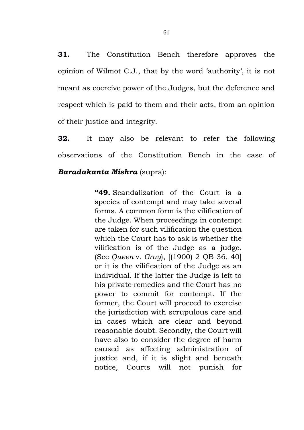**31.** The Constitution Bench therefore approves the opinion of Wilmot C.J., that by the word 'authority', it is not meant as coercive power of the Judges, but the deference and respect which is paid to them and their acts, from an opinion of their justice and integrity.

**32.** It may also be relevant to refer the following observations of the Constitution Bench in the case of *Baradakanta Mishra* (supra):

> **"49.** Scandalization of the Court is a species of contempt and may take several forms. A common form is the vilification of the Judge. When proceedings in contempt are taken for such vilification the question which the Court has to ask is whether the vilification is of the Judge as a judge. (See *Queen* v. *Gray*), [(1900) 2 QB 36, 40] or it is the vilification of the Judge as an individual. If the latter the Judge is left to his private remedies and the Court has no power to commit for contempt. If the former, the Court will proceed to exercise the jurisdiction with scrupulous care and in cases which are clear and beyond reasonable doubt. Secondly, the Court will have also to consider the degree of harm caused as affecting administration of justice and, if it is slight and beneath notice, Courts will not punish for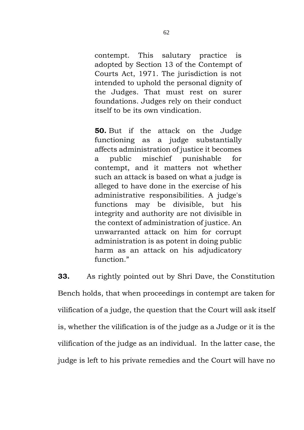contempt. This salutary practice is adopted by Section 13 of the Contempt of Courts Act, 1971. The jurisdiction is not intended to uphold the personal dignity of the Judges. That must rest on surer foundations. Judges rely on their conduct itself to be its own vindication.

**50.** But if the attack on the Judge functioning as a judge substantially affects administration of justice it becomes a public mischief punishable for contempt, and it matters not whether such an attack is based on what a judge is alleged to have done in the exercise of his administrative responsibilities. A judge's functions may be divisible, but his integrity and authority are not divisible in the context of administration of justice. An unwarranted attack on him for corrupt administration is as potent in doing public harm as an attack on his adjudicatory function."

**33.** As rightly pointed out by Shri Dave, the Constitution Bench holds, that when proceedings in contempt are taken for vilification of a judge, the question that the Court will ask itself is, whether the vilification is of the judge as a Judge or it is the vilification of the judge as an individual. In the latter case, the judge is left to his private remedies and the Court will have no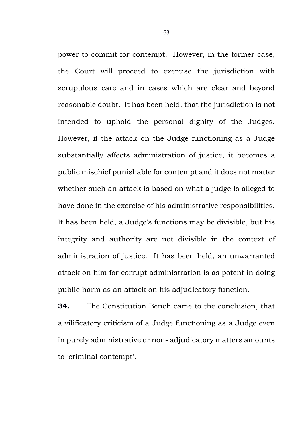power to commit for contempt. However, in the former case, the Court will proceed to exercise the jurisdiction with scrupulous care and in cases which are clear and beyond reasonable doubt. It has been held, that the jurisdiction is not intended to uphold the personal dignity of the Judges. However, if the attack on the Judge functioning as a Judge substantially affects administration of justice, it becomes a public mischief punishable for contempt and it does not matter whether such an attack is based on what a judge is alleged to have done in the exercise of his administrative responsibilities. It has been held, a Judge's functions may be divisible, but his integrity and authority are not divisible in the context of administration of justice. It has been held, an unwarranted attack on him for corrupt administration is as potent in doing public harm as an attack on his adjudicatory function.

**34.** The Constitution Bench came to the conclusion, that a vilificatory criticism of a Judge functioning as a Judge even in purely administrative or non- adjudicatory matters amounts to 'criminal contempt'.

63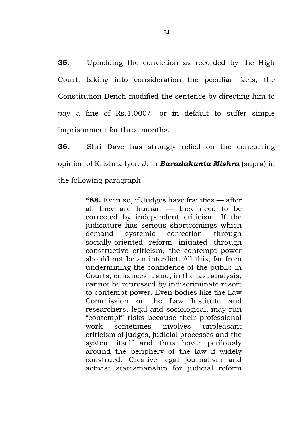**35.** Upholding the conviction as recorded by the High Court, taking into consideration the peculiar facts, the Constitution Bench modified the sentence by directing him to pay a fine of Rs.1,000/- or in default to suffer simple imprisonment for three months.

**36.** Shri Dave has strongly relied on the concurring opinion of Krishna Iyer, J. in *Baradakanta Mishra* (supra) in the following paragraph

> **"88.** Even so, if Judges have frailities — after all they are human — they need to be corrected by independent criticism. If the judicature has serious shortcomings which demand systemic correction through socially-oriented reform initiated through constructive criticism, the contempt power should not be an interdict. All this, far from undermining the confidence of the public in Courts, enhances it and, in the last analysis, cannot be repressed by indiscriminate resort to contempt power. Even bodies like the Law Commission or the Law Institute and researchers, legal and sociological, may run "contempt" risks because their professional work sometimes involves unpleasant criticism of judges, judicial processes and the system itself and thus hover perilously around the periphery of the law if widely construed. Creative legal journalism and activist statesmanship for judicial reform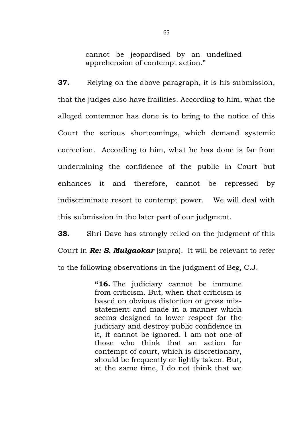cannot be jeopardised by an undefined apprehension of contempt action."

**37.** Relying on the above paragraph, it is his submission, that the judges also have frailities. According to him, what the alleged contemnor has done is to bring to the notice of this Court the serious shortcomings, which demand systemic correction. According to him, what he has done is far from undermining the confidence of the public in Court but enhances it and therefore, cannot be repressed by indiscriminate resort to contempt power. We will deal with this submission in the later part of our judgment.

**38.** Shri Dave has strongly relied on the judgment of this Court in *Re: S. Mulgaokar* (supra). It will be relevant to refer to the following observations in the judgment of Beg, C.J.

> **"16.** The judiciary cannot be immune from criticism. But, when that criticism is based on obvious distortion or gross misstatement and made in a manner which seems designed to lower respect for the judiciary and destroy public confidence in it, it cannot be ignored. I am not one of those who think that an action for contempt of court, which is discretionary, should be frequently or lightly taken. But, at the same time, I do not think that we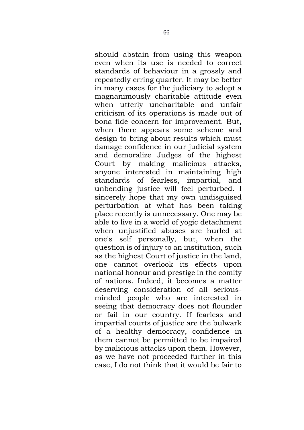should abstain from using this weapon even when its use is needed to correct standards of behaviour in a grossly and repeatedly erring quarter. It may be better in many cases for the judiciary to adopt a magnanimously charitable attitude even when utterly uncharitable and unfair criticism of its operations is made out of bona fide concern for improvement. But, when there appears some scheme and design to bring about results which must damage confidence in our judicial system and demoralize Judges of the highest Court by making malicious attacks, anyone interested in maintaining high standards of fearless, impartial, and unbending justice will feel perturbed. I sincerely hope that my own undisguised perturbation at what has been taking place recently is unnecessary. One may be able to live in a world of yogic detachment when unjustified abuses are hurled at one's self personally, but, when the question is of injury to an institution, such as the highest Court of justice in the land, one cannot overlook its effects upon national honour and prestige in the comity of nations. Indeed, it becomes a matter deserving consideration of all seriousminded people who are interested in seeing that democracy does not flounder or fail in our country. If fearless and impartial courts of justice are the bulwark of a healthy democracy, confidence in them cannot be permitted to be impaired by malicious attacks upon them. However, as we have not proceeded further in this case, I do not think that it would be fair to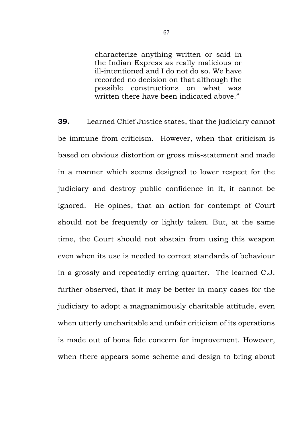characterize anything written or said in the Indian Express as really malicious or ill-intentioned and I do not do so. We have recorded no decision on that although the possible constructions on what was written there have been indicated above."

**39.** Learned Chief Justice states, that the judiciary cannot be immune from criticism. However, when that criticism is based on obvious distortion or gross mis-statement and made in a manner which seems designed to lower respect for the judiciary and destroy public confidence in it, it cannot be ignored. He opines, that an action for contempt of Court should not be frequently or lightly taken. But, at the same time, the Court should not abstain from using this weapon even when its use is needed to correct standards of behaviour in a grossly and repeatedly erring quarter. The learned C.J. further observed, that it may be better in many cases for the judiciary to adopt a magnanimously charitable attitude, even when utterly uncharitable and unfair criticism of its operations is made out of bona fide concern for improvement. However, when there appears some scheme and design to bring about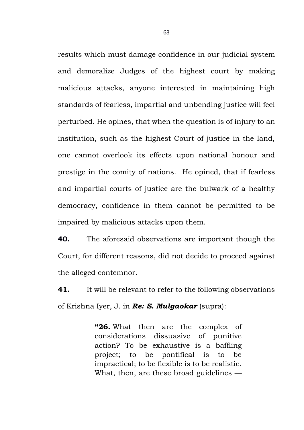results which must damage confidence in our judicial system and demoralize Judges of the highest court by making malicious attacks, anyone interested in maintaining high standards of fearless, impartial and unbending justice will feel perturbed. He opines, that when the question is of injury to an institution, such as the highest Court of justice in the land, one cannot overlook its effects upon national honour and prestige in the comity of nations. He opined, that if fearless and impartial courts of justice are the bulwark of a healthy democracy, confidence in them cannot be permitted to be impaired by malicious attacks upon them.

**40.** The aforesaid observations are important though the Court, for different reasons, did not decide to proceed against the alleged contemnor.

**41.** It will be relevant to refer to the following observations of Krishna Iyer, J. in *Re: S. Mulgaokar* (supra):

> **"26.** What then are the complex of considerations dissuasive of punitive action? To be exhaustive is a baffling project; to be pontifical is to be impractical; to be flexible is to be realistic. What, then, are these broad guidelines —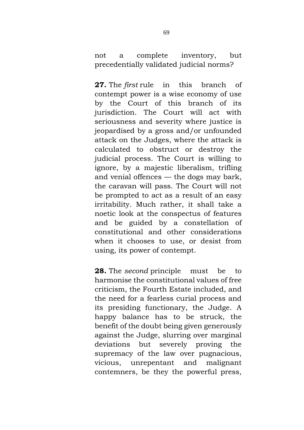not a complete inventory, but precedentially validated judicial norms?

**27.** The *first* rule in this branch of contempt power is a wise economy of use by the Court of this branch of its jurisdiction. The Court will act with seriousness and severity where justice is jeopardised by a gross and/or unfounded attack on the Judges, where the attack is calculated to obstruct or destroy the judicial process. The Court is willing to ignore, by a majestic liberalism, trifling and venial offences — the dogs may bark, the caravan will pass. The Court will not be prompted to act as a result of an easy irritability. Much rather, it shall take a noetic look at the conspectus of features and be guided by a constellation of constitutional and other considerations when it chooses to use, or desist from using, its power of contempt.

**28.** The *second* principle must be to harmonise the constitutional values of free criticism, the Fourth Estate included, and the need for a fearless curial process and its presiding functionary, the Judge. A happy balance has to be struck, the benefit of the doubt being given generously against the Judge, slurring over marginal deviations but severely proving the supremacy of the law over pugnacious, vicious, unrepentant and malignant contemners, be they the powerful press,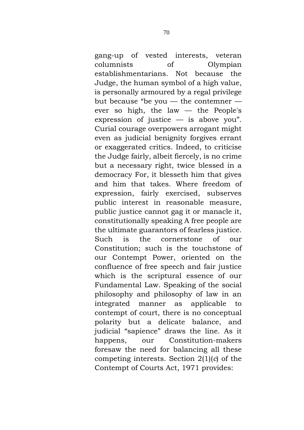gang-up of vested interests, veteran columnists of Olympian establishmentarians. Not because the Judge, the human symbol of a high value, is personally armoured by a regal privilege but because "be you — the contemner ever so high, the law — the People's expression of justice  $-$  is above you". Curial courage overpowers arrogant might even as judicial benignity forgives errant or exaggerated critics. Indeed, to criticise the Judge fairly, albeit fiercely, is no crime but a necessary right, twice blessed in a democracy For, it blesseth him that gives and him that takes. Where freedom of expression, fairly exercised, subserves public interest in reasonable measure, public justice cannot gag it or manacle it, constitutionally speaking A free people are the ultimate guarantors of fearless justice. Such is the cornerstone of our Constitution; such is the touchstone of our Contempt Power, oriented on the confluence of free speech and fair justice which is the scriptural essence of our Fundamental Law. Speaking of the social philosophy and philosophy of law in an integrated manner as applicable to contempt of court, there is no conceptual polarity but a delicate balance, and judicial "sapience" draws the line. As it happens, our Constitution-makers foresaw the need for balancing all these competing interests. Section 2(1)(*c*) of the Contempt of Courts Act, 1971 provides: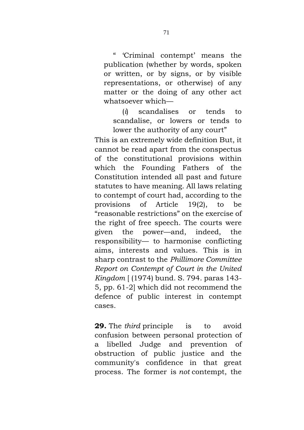" 'Criminal contempt' means the publication (whether by words, spoken or written, or by signs, or by visible representations, or otherwise) of any matter or the doing of any other act whatsoever which—

(*i*) scandalises or tends to scandalise, or lowers or tends to lower the authority of any court"

This is an extremely wide definition But, it cannot be read apart from the conspectus of the constitutional provisions within which the Founding Fathers of the Constitution intended all past and future statutes to have meaning. All laws relating to contempt of court had, according to the provisions of Article 19(2), to be "reasonable restrictions" on the exercise of the right of free speech. The courts were given the power—and, indeed, the responsibility— to harmonise conflicting aims, interests and values. This is in sharp contrast to the *Phillimore Committee Report on Contempt of Court in the United Kingdom* [ (1974) bund. S. 794. paras 143- 5, pp. 61-2] which did not recommend the defence of public interest in contempt cases.

**29.** The *third* principle is to avoid confusion between personal protection of a libelled Judge and prevention of obstruction of public justice and the community's confidence in that great process. The former is *not* contempt, the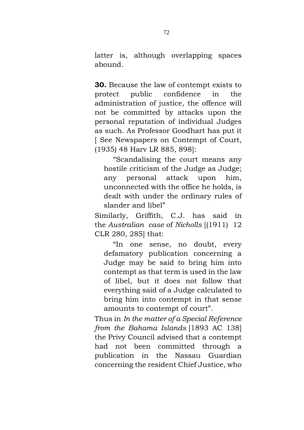latter is, although overlapping spaces abound.

**30.** Because the law of contempt exists to protect public confidence in the administration of justice, the offence will not be committed by attacks upon the personal reputation of individual Judges as such. As Professor Goodhart has put it [ See Newspapers on Contempt of Court, (1935) 48 Harv LR 885, 898]:

"Scandalising the court means any hostile criticism of the Judge as Judge; any personal attack upon him, unconnected with the office he holds, is dealt with under the ordinary rules of slander and libel"

Similarly, Griffith, C.J. has said in the *Australian case* of *Nicholls* [(1911) 12 CLR 280, 285] that:

"In one sense, no doubt, every defamatory publication concerning a Judge may be said to bring him into contempt as that term is used in the law of libel, but it does not follow that everything said of a Judge calculated to bring him into contempt in that sense amounts to contempt of court".

Thus in *In the matter of a Special Reference from the Bahama Islands* [1893 AC 138] the Privy Council advised that a contempt had not been committed through a publication in the Nassau Guardian concerning the resident Chief Justice, who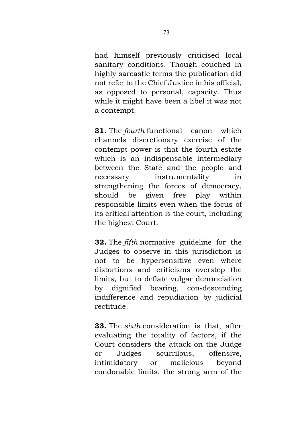had himself previously criticised local sanitary conditions. Though couched in highly sarcastic terms the publication did not refer to the Chief Justice in his official, as opposed to personal, capacity. Thus while it might have been a libel it was not a contempt.

**31.** The *fourth* functional canon which channels discretionary exercise of the contempt power is that the fourth estate which is an indispensable intermediary between the State and the people and necessary instrumentality in strengthening the forces of democracy, should be given free play within responsible limits even when the focus of its critical attention is the court, including the highest Court.

**32.** The *fifth* normative guideline for the Judges to observe in this jurisdiction is not to be hypersensitive even where distortions and criticisms overstep the limits, but to deflate vulgar denunciation by dignified bearing, con-descending indifference and repudiation by judicial rectitude.

**33.** The *sixth* consideration is that, after evaluating the totality of factors, if the Court considers the attack on the Judge or Judges scurrilous, offensive, intimidatory or malicious beyond condonable limits, the strong arm of the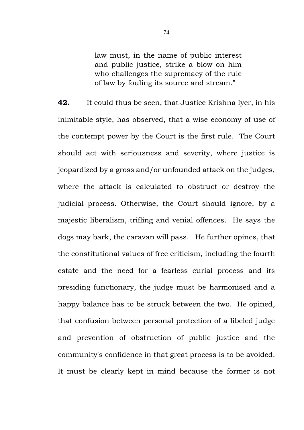law must, in the name of public interest and public justice, strike a blow on him who challenges the supremacy of the rule of law by fouling its source and stream."

**42.** It could thus be seen, that Justice Krishna Iyer, in his inimitable style, has observed, that a wise economy of use of the contempt power by the Court is the first rule. The Court should act with seriousness and severity, where justice is jeopardized by a gross and/or unfounded attack on the judges, where the attack is calculated to obstruct or destroy the judicial process. Otherwise, the Court should ignore, by a majestic liberalism, trifling and venial offences. He says the dogs may bark, the caravan will pass. He further opines, that the constitutional values of free criticism, including the fourth estate and the need for a fearless curial process and its presiding functionary, the judge must be harmonised and a happy balance has to be struck between the two. He opined, that confusion between personal protection of a libeled judge and prevention of obstruction of public justice and the community's confidence in that great process is to be avoided. It must be clearly kept in mind because the former is not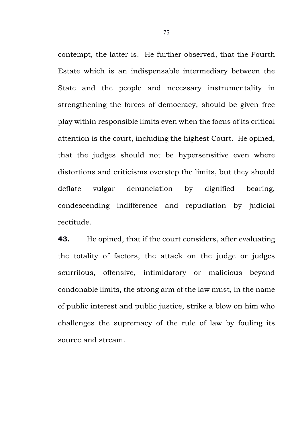contempt, the latter is. He further observed, that the Fourth Estate which is an indispensable intermediary between the State and the people and necessary instrumentality in strengthening the forces of democracy, should be given free play within responsible limits even when the focus of its critical attention is the court, including the highest Court. He opined, that the judges should not be hypersensitive even where distortions and criticisms overstep the limits, but they should deflate vulgar denunciation by dignified bearing, condescending indifference and repudiation by judicial rectitude.

**43.** He opined, that if the court considers, after evaluating the totality of factors, the attack on the judge or judges scurrilous, offensive, intimidatory or malicious beyond condonable limits, the strong arm of the law must, in the name of public interest and public justice, strike a blow on him who challenges the supremacy of the rule of law by fouling its source and stream.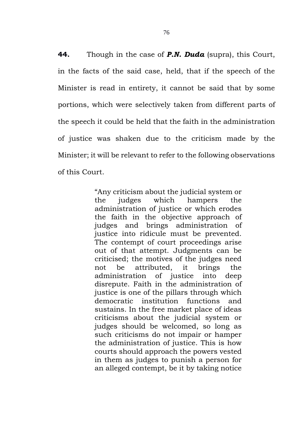**44.** Though in the case of *P.N. Duda* (supra), this Court, in the facts of the said case, held, that if the speech of the Minister is read in entirety, it cannot be said that by some portions, which were selectively taken from different parts of the speech it could be held that the faith in the administration of justice was shaken due to the criticism made by the Minister; it will be relevant to refer to the following observations of this Court.

> "Any criticism about the judicial system or the judges which hampers the administration of justice or which erodes the faith in the objective approach of judges and brings administration of justice into ridicule must be prevented. The contempt of court proceedings arise out of that attempt. Judgments can be criticised; the motives of the judges need not be attributed, it brings the administration of justice into deep disrepute. Faith in the administration of justice is one of the pillars through which democratic institution functions and sustains. In the free market place of ideas criticisms about the judicial system or judges should be welcomed, so long as such criticisms do not impair or hamper the administration of justice. This is how courts should approach the powers vested in them as judges to punish a person for an alleged contempt, be it by taking notice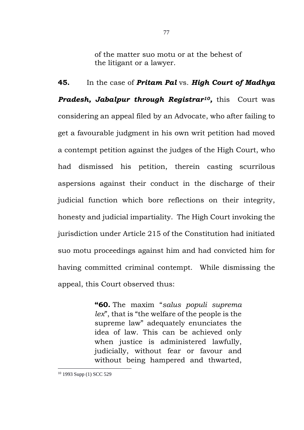of the matter suo motu or at the behest of the litigant or a lawyer.

**45.** In the case of *Pritam Pal* vs. *High Court of Madhya*  **Pradesh, Jabalpur through Registrar<sup>10</sup>, this Court was** considering an appeal filed by an Advocate, who after failing to get a favourable judgment in his own writ petition had moved a contempt petition against the judges of the High Court, who had dismissed his petition, therein casting scurrilous aspersions against their conduct in the discharge of their judicial function which bore reflections on their integrity, honesty and judicial impartiality. The High Court invoking the jurisdiction under Article 215 of the Constitution had initiated suo motu proceedings against him and had convicted him for having committed criminal contempt. While dismissing the appeal, this Court observed thus:

> **"60.** The maxim "*salus populi suprema lex*", that is "the welfare of the people is the supreme law" adequately enunciates the idea of law. This can be achieved only when justice is administered lawfully, judicially, without fear or favour and without being hampered and thwarted,

<sup>10</sup> 1993 Supp (1) SCC 529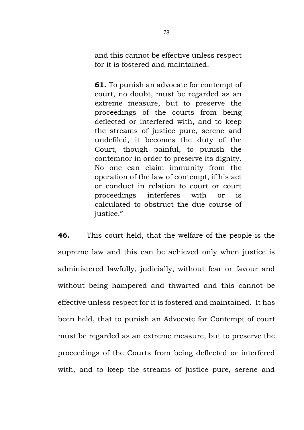and this cannot be effective unless respect for it is fostered and maintained.

**61.** To punish an advocate for contempt of court, no doubt, must be regarded as an extreme measure, but to preserve the proceedings of the courts from being deflected or interfered with, and to keep the streams of justice pure, serene and undefiled, it becomes the duty of the Court, though painful, to punish the contemnor in order to preserve its dignity. No one can claim immunity from the operation of the law of contempt, if his act or conduct in relation to court or court proceedings interferes with or is calculated to obstruct the due course of justice."

**46.** This court held, that the welfare of the people is the supreme law and this can be achieved only when justice is administered lawfully, judicially, without fear or favour and without being hampered and thwarted and this cannot be effective unless respect for it is fostered and maintained. It has been held, that to punish an Advocate for Contempt of court must be regarded as an extreme measure, but to preserve the proceedings of the Courts from being deflected or interfered with, and to keep the streams of justice pure, serene and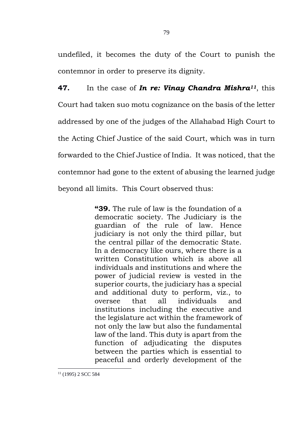undefiled, it becomes the duty of the Court to punish the contemnor in order to preserve its dignity.

**47.** In the case of *In re: Vinay Chandra Mishra11*, this Court had taken suo motu cognizance on the basis of the letter addressed by one of the judges of the Allahabad High Court to the Acting Chief Justice of the said Court, which was in turn forwarded to the Chief Justice of India. It was noticed, that the contemnor had gone to the extent of abusing the learned judge beyond all limits. This Court observed thus:

> **"39.** The rule of law is the foundation of a democratic society. The Judiciary is the guardian of the rule of law. Hence judiciary is not only the third pillar, but the central pillar of the democratic State. In a democracy like ours, where there is a written Constitution which is above all individuals and institutions and where the power of judicial review is vested in the superior courts, the judiciary has a special and additional duty to perform, viz., to oversee that all individuals and institutions including the executive and the legislature act within the framework of not only the law but also the fundamental law of the land. This duty is apart from the function of adjudicating the disputes between the parties which is essential to peaceful and orderly development of the

<sup>11</sup> (1995) 2 SCC 584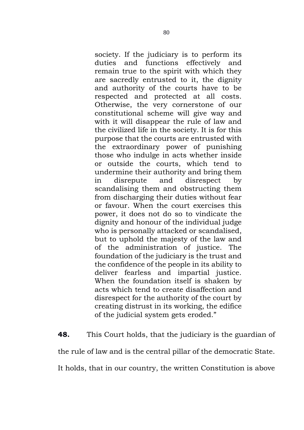society. If the judiciary is to perform its duties and functions effectively and remain true to the spirit with which they are sacredly entrusted to it, the dignity and authority of the courts have to be respected and protected at all costs. Otherwise, the very cornerstone of our constitutional scheme will give way and with it will disappear the rule of law and the civilized life in the society. It is for this purpose that the courts are entrusted with the extraordinary power of punishing those who indulge in acts whether inside or outside the courts, which tend to undermine their authority and bring them in disrepute and disrespect by scandalising them and obstructing them from discharging their duties without fear or favour. When the court exercises this power, it does not do so to vindicate the dignity and honour of the individual judge who is personally attacked or scandalised, but to uphold the majesty of the law and of the administration of justice. The foundation of the judiciary is the trust and the confidence of the people in its ability to deliver fearless and impartial justice. When the foundation itself is shaken by acts which tend to create disaffection and disrespect for the authority of the court by creating distrust in its working, the edifice of the judicial system gets eroded."

**48.** This Court holds, that the judiciary is the guardian of the rule of law and is the central pillar of the democratic State. It holds, that in our country, the written Constitution is above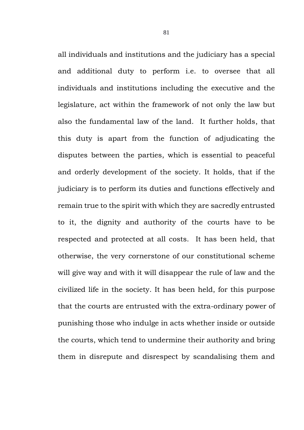all individuals and institutions and the judiciary has a special and additional duty to perform i.e. to oversee that all individuals and institutions including the executive and the legislature, act within the framework of not only the law but also the fundamental law of the land. It further holds, that this duty is apart from the function of adjudicating the disputes between the parties, which is essential to peaceful and orderly development of the society. It holds, that if the judiciary is to perform its duties and functions effectively and remain true to the spirit with which they are sacredly entrusted to it, the dignity and authority of the courts have to be respected and protected at all costs. It has been held, that otherwise, the very cornerstone of our constitutional scheme will give way and with it will disappear the rule of law and the civilized life in the society. It has been held, for this purpose that the courts are entrusted with the extra-ordinary power of punishing those who indulge in acts whether inside or outside the courts, which tend to undermine their authority and bring them in disrepute and disrespect by scandalising them and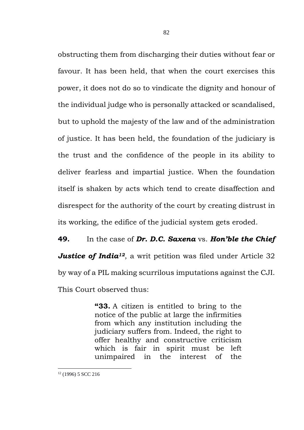obstructing them from discharging their duties without fear or favour. It has been held, that when the court exercises this power, it does not do so to vindicate the dignity and honour of the individual judge who is personally attacked or scandalised, but to uphold the majesty of the law and of the administration of justice. It has been held, the foundation of the judiciary is the trust and the confidence of the people in its ability to deliver fearless and impartial justice. When the foundation itself is shaken by acts which tend to create disaffection and disrespect for the authority of the court by creating distrust in its working, the edifice of the judicial system gets eroded.

**49.** In the case of *Dr. D.C. Saxena* vs. *Hon'ble the Chief Justice of India<sup>12</sup>*, a writ petition was filed under Article 32 by way of a PIL making scurrilous imputations against the CJI. This Court observed thus:

> **"33.** A citizen is entitled to bring to the notice of the public at large the infirmities from which any institution including the judiciary suffers from. Indeed, the right to offer healthy and constructive criticism which is fair in spirit must be left unimpaired in the interest of the

<sup>12</sup> (1996) 5 SCC 216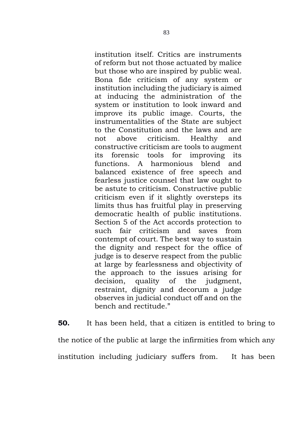institution itself. Critics are instruments of reform but not those actuated by malice but those who are inspired by public weal. Bona fide criticism of any system or institution including the judiciary is aimed at inducing the administration of the system or institution to look inward and improve its public image. Courts, the instrumentalities of the State are subject to the Constitution and the laws and are not above criticism. Healthy and constructive criticism are tools to augment its forensic tools for improving its functions. A harmonious blend and balanced existence of free speech and fearless justice counsel that law ought to be astute to criticism. Constructive public criticism even if it slightly oversteps its limits thus has fruitful play in preserving democratic health of public institutions. Section 5 of the Act accords protection to such fair criticism and saves from contempt of court. The best way to sustain the dignity and respect for the office of judge is to deserve respect from the public at large by fearlessness and objectivity of the approach to the issues arising for decision, quality of the judgment, restraint, dignity and decorum a judge observes in judicial conduct off and on the bench and rectitude."

**50.** It has been held, that a citizen is entitled to bring to the notice of the public at large the infirmities from which any institution including judiciary suffers from. It has been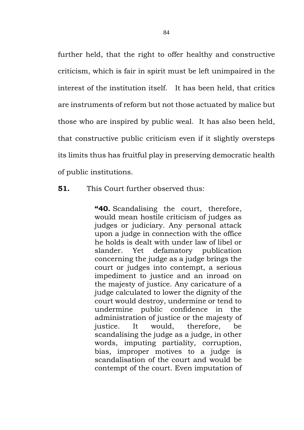further held, that the right to offer healthy and constructive criticism, which is fair in spirit must be left unimpaired in the interest of the institution itself. It has been held, that critics are instruments of reform but not those actuated by malice but those who are inspired by public weal. It has also been held, that constructive public criticism even if it slightly oversteps its limits thus has fruitful play in preserving democratic health of public institutions.

## **51.** This Court further observed thus:

**"40.** Scandalising the court, therefore, would mean hostile criticism of judges as judges or judiciary. Any personal attack upon a judge in connection with the office he holds is dealt with under law of libel or slander. Yet defamatory publication concerning the judge as a judge brings the court or judges into contempt, a serious impediment to justice and an inroad on the majesty of justice. Any caricature of a judge calculated to lower the dignity of the court would destroy, undermine or tend to undermine public confidence in the administration of justice or the majesty of justice. It would, therefore, be scandalising the judge as a judge, in other words, imputing partiality, corruption, bias, improper motives to a judge is scandalisation of the court and would be contempt of the court. Even imputation of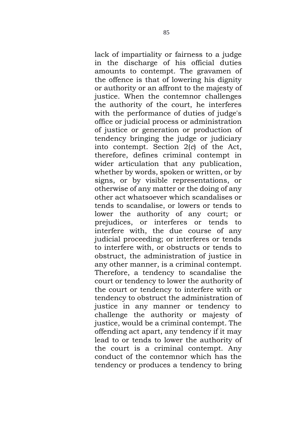lack of impartiality or fairness to a judge in the discharge of his official duties amounts to contempt. The gravamen of the offence is that of lowering his dignity or authority or an affront to the majesty of justice. When the contemnor challenges the authority of the court, he interferes with the performance of duties of judge's office or judicial process or administration of justice or generation or production of tendency bringing the judge or judiciary into contempt. Section 2(*c*) of the Act, therefore, defines criminal contempt in wider articulation that any publication, whether by words, spoken or written, or by signs, or by visible representations, or otherwise of any matter or the doing of any other act whatsoever which scandalises or tends to scandalise, or lowers or tends to lower the authority of any court; or prejudices, or interferes or tends to interfere with, the due course of any judicial proceeding; or interferes or tends to interfere with, or obstructs or tends to obstruct, the administration of justice in any other manner, is a criminal contempt. Therefore, a tendency to scandalise the court or tendency to lower the authority of the court or tendency to interfere with or tendency to obstruct the administration of justice in any manner or tendency to challenge the authority or majesty of justice, would be a criminal contempt. The offending act apart, any tendency if it may lead to or tends to lower the authority of the court is a criminal contempt. Any conduct of the contemnor which has the tendency or produces a tendency to bring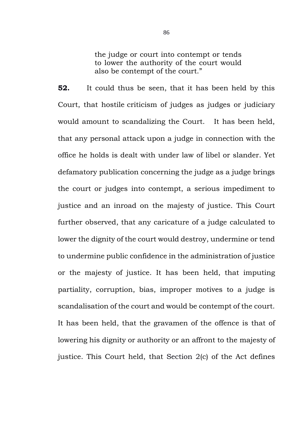the judge or court into contempt or tends to lower the authority of the court would also be contempt of the court."

**52.** It could thus be seen, that it has been held by this Court, that hostile criticism of judges as judges or judiciary would amount to scandalizing the Court. It has been held, that any personal attack upon a judge in connection with the office he holds is dealt with under law of libel or slander. Yet defamatory publication concerning the judge as a judge brings the court or judges into contempt, a serious impediment to justice and an inroad on the majesty of justice. This Court further observed, that any caricature of a judge calculated to lower the dignity of the court would destroy, undermine or tend to undermine public confidence in the administration of justice or the majesty of justice. It has been held, that imputing partiality, corruption, bias, improper motives to a judge is scandalisation of the court and would be contempt of the court. It has been held, that the gravamen of the offence is that of lowering his dignity or authority or an affront to the majesty of justice. This Court held, that [Section 2\(](https://indiankanoon.org/doc/62140/)c) of the Act defines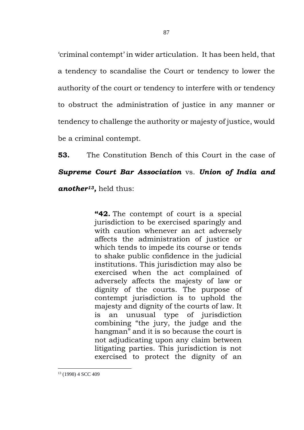'criminal contempt' in wider articulation. It has been held, that a tendency to scandalise the Court or tendency to lower the authority of the court or tendency to interfere with or tendency to obstruct the administration of justice in any manner or tendency to challenge the authority or majesty of justice, would be a criminal contempt.

**53.** The Constitution Bench of this Court in the case of

## *Supreme Court Bar Association* vs. *Union of India and*

*another<sup>13</sup> ,* held thus:

**"42.** The contempt of court is a special jurisdiction to be exercised sparingly and with caution whenever an act adversely affects the administration of justice or which tends to impede its course or tends to shake public confidence in the judicial institutions. This jurisdiction may also be exercised when the act complained of adversely affects the majesty of law or dignity of the courts. The purpose of contempt jurisdiction is to uphold the majesty and dignity of the courts of law. It is an unusual type of jurisdiction combining "the jury, the judge and the hangman" and it is so because the court is not adjudicating upon any claim between litigating parties. This jurisdiction is not exercised to protect the dignity of an

<sup>13</sup> (1998) 4 SCC 409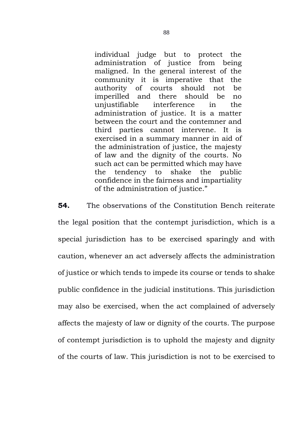individual judge but to protect the administration of justice from being maligned. In the general interest of the community it is imperative that the authority of courts should not be imperilled and there should be no unjustifiable interference in the administration of justice. It is a matter between the court and the contemner and third parties cannot intervene. It is exercised in a summary manner in aid of the administration of justice, the majesty of law and the dignity of the courts. No such act can be permitted which may have the tendency to shake the public confidence in the fairness and impartiality of the administration of justice."

**54.** The observations of the Constitution Bench reiterate the legal position that the contempt jurisdiction, which is a special jurisdiction has to be exercised sparingly and with caution, whenever an act adversely affects the administration of justice or which tends to impede its course or tends to shake public confidence in the judicial institutions. This jurisdiction may also be exercised, when the act complained of adversely affects the majesty of law or dignity of the courts. The purpose of contempt jurisdiction is to uphold the majesty and dignity of the courts of law. This jurisdiction is not to be exercised to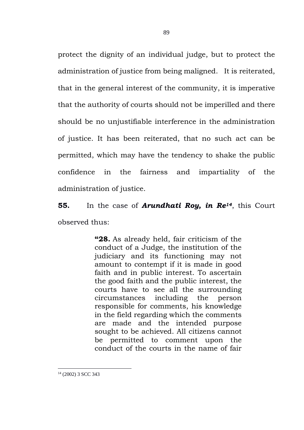protect the dignity of an individual judge, but to protect the administration of justice from being maligned. It is reiterated, that in the general interest of the community, it is imperative that the authority of courts should not be imperilled and there should be no unjustifiable interference in the administration of justice. It has been reiterated, that no such act can be permitted, which may have the tendency to shake the public confidence in the fairness and impartiality of the administration of justice.

**55.** In the case of *Arundhati Roy, in Re14*, this Court observed thus:

> **"28.** As already held, fair criticism of the conduct of a Judge, the institution of the judiciary and its functioning may not amount to contempt if it is made in good faith and in public interest. To ascertain the good faith and the public interest, the courts have to see all the surrounding circumstances including the person responsible for comments, his knowledge in the field regarding which the comments are made and the intended purpose sought to be achieved. All citizens cannot be permitted to comment upon the conduct of the courts in the name of fair

<sup>14</sup> (2002) 3 SCC 343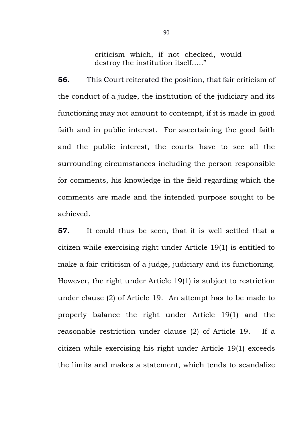criticism which, if not checked, would destroy the institution itself….."

**56.** This Court reiterated the position, that fair criticism of the conduct of a judge, the institution of the judiciary and its functioning may not amount to contempt, if it is made in good faith and in public interest. For ascertaining the good faith and the public interest, the courts have to see all the surrounding circumstances including the person responsible for comments, his knowledge in the field regarding which the comments are made and the intended purpose sought to be achieved.

**57.** It could thus be seen, that it is well settled that a citizen while exercising right under Article 19(1) is entitled to make a fair criticism of a judge, judiciary and its functioning. However, the right under Article 19(1) is subject to restriction under clause (2) of Article 19. An attempt has to be made to properly balance the right under Article 19(1) and the reasonable restriction under clause (2) of Article 19. If a citizen while exercising his right under Article 19(1) exceeds the limits and makes a statement, which tends to scandalize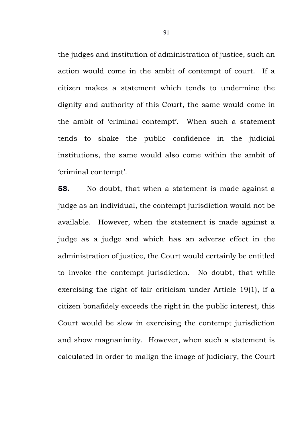the judges and institution of administration of justice, such an action would come in the ambit of contempt of court. If a citizen makes a statement which tends to undermine the dignity and authority of this Court, the same would come in the ambit of 'criminal contempt'. When such a statement tends to shake the public confidence in the judicial institutions, the same would also come within the ambit of 'criminal contempt'.

**58.** No doubt, that when a statement is made against a judge as an individual, the contempt jurisdiction would not be available. However, when the statement is made against a judge as a judge and which has an adverse effect in the administration of justice, the Court would certainly be entitled to invoke the contempt jurisdiction. No doubt, that while exercising the right of fair criticism under Article 19(1), if a citizen bonafidely exceeds the right in the public interest, this Court would be slow in exercising the contempt jurisdiction and show magnanimity. However, when such a statement is calculated in order to malign the image of judiciary, the Court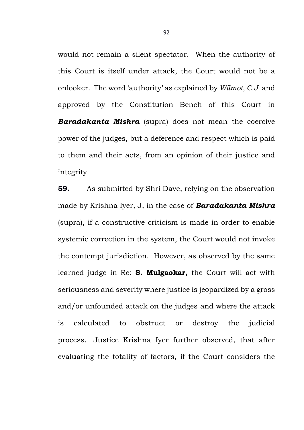would not remain a silent spectator. When the authority of this Court is itself under attack, the Court would not be a onlooker. The word 'authority' as explained by *Wilmot, C.J.* and approved by the Constitution Bench of this Court in *Baradakanta Mishra* (supra) does not mean the coercive power of the judges, but a deference and respect which is paid to them and their acts, from an opinion of their justice and integrity

**59.** As submitted by Shri Dave, relying on the observation made by Krishna Iyer, J, in the case of *Baradakanta Mishra* (supra), if a constructive criticism is made in order to enable systemic correction in the system, the Court would not invoke the contempt jurisdiction. However, as observed by the same learned judge in Re: **S. Mulgaokar,** the Court will act with seriousness and severity where justice is jeopardized by a gross and/or unfounded attack on the judges and where the attack is calculated to obstruct or destroy the judicial process. Justice Krishna Iyer further observed, that after evaluating the totality of factors, if the Court considers the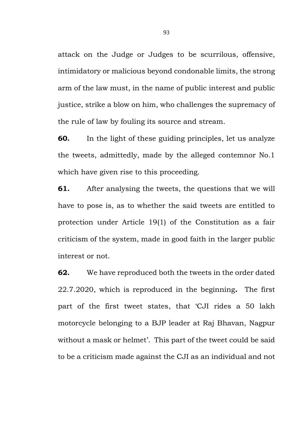attack on the Judge or Judges to be scurrilous, offensive, intimidatory or malicious beyond condonable limits, the strong arm of the law must, in the name of public interest and public justice, strike a blow on him, who challenges the supremacy of the rule of law by fouling its source and stream.

**60.** In the light of these guiding principles, let us analyze the tweets, admittedly, made by the alleged contemnor No.1 which have given rise to this proceeding.

**61.** After analysing the tweets, the questions that we will have to pose is, as to whether the said tweets are entitled to protection under Article 19(1) of the Constitution as a fair criticism of the system, made in good faith in the larger public interest or not.

**62.** We have reproduced both the tweets in the order dated 22.7.2020, which is reproduced in the beginning**.** The first part of the first tweet states, that 'CJI rides a 50 lakh motorcycle belonging to a BJP leader at Raj Bhavan, Nagpur without a mask or helmet'. This part of the tweet could be said to be a criticism made against the CJI as an individual and not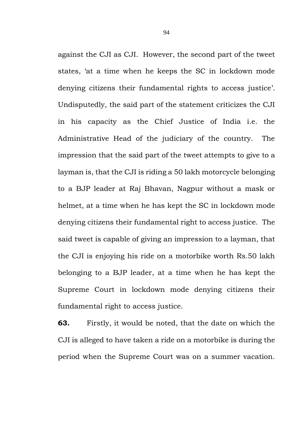against the CJI as CJI. However, the second part of the tweet states, 'at a time when he keeps the SC in lockdown mode denying citizens their fundamental rights to access justice'. Undisputedly, the said part of the statement criticizes the CJI in his capacity as the Chief Justice of India i.e. the Administrative Head of the judiciary of the country. The impression that the said part of the tweet attempts to give to a layman is, that the CJI is riding a 50 lakh motorcycle belonging to a BJP leader at Raj Bhavan, Nagpur without a mask or helmet, at a time when he has kept the SC in lockdown mode denying citizens their fundamental right to access justice. The said tweet is capable of giving an impression to a layman, that the CJI is enjoying his ride on a motorbike worth Rs.50 lakh belonging to a BJP leader, at a time when he has kept the Supreme Court in lockdown mode denying citizens their fundamental right to access justice.

**63.** Firstly, it would be noted, that the date on which the CJI is alleged to have taken a ride on a motorbike is during the period when the Supreme Court was on a summer vacation.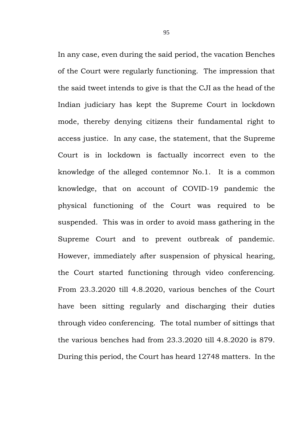In any case, even during the said period, the vacation Benches of the Court were regularly functioning. The impression that the said tweet intends to give is that the CJI as the head of the Indian judiciary has kept the Supreme Court in lockdown mode, thereby denying citizens their fundamental right to access justice. In any case, the statement, that the Supreme Court is in lockdown is factually incorrect even to the knowledge of the alleged contemnor No.1. It is a common knowledge, that on account of COVID-19 pandemic the physical functioning of the Court was required to be suspended. This was in order to avoid mass gathering in the Supreme Court and to prevent outbreak of pandemic. However, immediately after suspension of physical hearing, the Court started functioning through video conferencing. From 23.3.2020 till 4.8.2020, various benches of the Court have been sitting regularly and discharging their duties through video conferencing. The total number of sittings that the various benches had from 23.3.2020 till 4.8.2020 is 879. During this period, the Court has heard 12748 matters. In the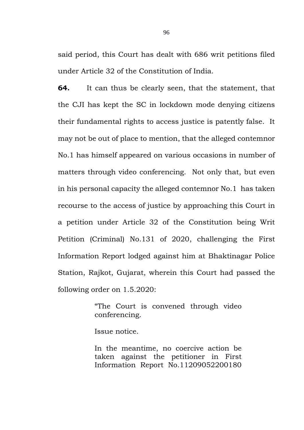said period, this Court has dealt with 686 writ petitions filed under Article 32 of the Constitution of India.

**64.** It can thus be clearly seen, that the statement, that the CJI has kept the SC in lockdown mode denying citizens their fundamental rights to access justice is patently false. It may not be out of place to mention, that the alleged contemnor No.1 has himself appeared on various occasions in number of matters through video conferencing. Not only that, but even in his personal capacity the alleged contemnor No.1 has taken recourse to the access of justice by approaching this Court in a petition under Article 32 of the Constitution being Writ Petition (Criminal) No.131 of 2020, challenging the First Information Report lodged against him at Bhaktinagar Police Station, Rajkot, Gujarat, wherein this Court had passed the following order on 1.5.2020:

> "The Court is convened through video conferencing.

Issue notice.

In the meantime, no coercive action be taken against the petitioner in First Information Report No.11209052200180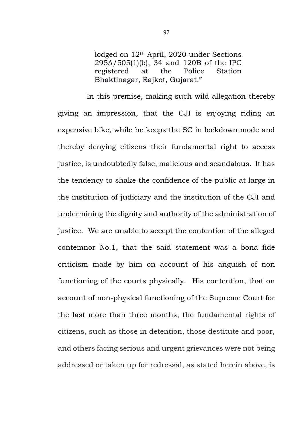lodged on 12th April, 2020 under Sections 295A/505(1)(b), 34 and 120B of the IPC registered at the Police Station Bhaktinagar, Rajkot, Gujarat."

In this premise, making such wild allegation thereby giving an impression, that the CJI is enjoying riding an expensive bike, while he keeps the SC in lockdown mode and thereby denying citizens their fundamental right to access justice, is undoubtedly false, malicious and scandalous. It has the tendency to shake the confidence of the public at large in the institution of judiciary and the institution of the CJI and undermining the dignity and authority of the administration of justice. We are unable to accept the contention of the alleged contemnor No.1, that the said statement was a bona fide criticism made by him on account of his anguish of non functioning of the courts physically. His contention, that on account of non-physical functioning of the Supreme Court for the last more than three months, the fundamental rights of citizens, such as those in detention, those destitute and poor, and others facing serious and urgent grievances were not being addressed or taken up for redressal, as stated herein above, is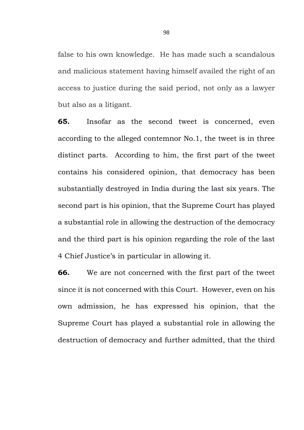false to his own knowledge. He has made such a scandalous and malicious statement having himself availed the right of an access to justice during the said period, not only as a lawyer but also as a litigant.

**65.** Insofar as the second tweet is concerned, even according to the alleged contemnor No.1, the tweet is in three distinct parts. According to him, the first part of the tweet contains his considered opinion, that democracy has been substantially destroyed in India during the last six years. The second part is his opinion, that the Supreme Court has played a substantial role in allowing the destruction of the democracy and the third part is his opinion regarding the role of the last 4 Chief Justice's in particular in allowing it.

**66.** We are not concerned with the first part of the tweet since it is not concerned with this Court. However, even on his own admission, he has expressed his opinion, that the Supreme Court has played a substantial role in allowing the destruction of democracy and further admitted, that the third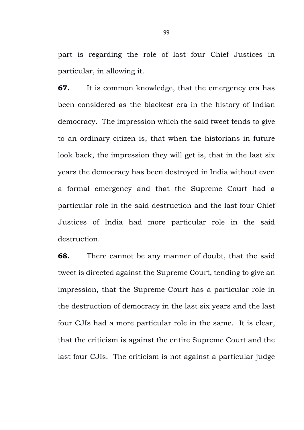part is regarding the role of last four Chief Justices in particular, in allowing it.

**67.** It is common knowledge, that the emergency era has been considered as the blackest era in the history of Indian democracy. The impression which the said tweet tends to give to an ordinary citizen is, that when the historians in future look back, the impression they will get is, that in the last six years the democracy has been destroyed in India without even a formal emergency and that the Supreme Court had a particular role in the said destruction and the last four Chief Justices of India had more particular role in the said destruction.

**68.** There cannot be any manner of doubt, that the said tweet is directed against the Supreme Court, tending to give an impression, that the Supreme Court has a particular role in the destruction of democracy in the last six years and the last four CJIs had a more particular role in the same. It is clear, that the criticism is against the entire Supreme Court and the last four CJIs. The criticism is not against a particular judge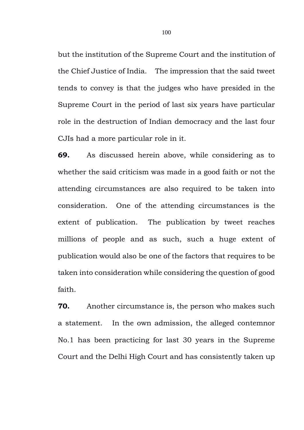but the institution of the Supreme Court and the institution of the Chief Justice of India. The impression that the said tweet tends to convey is that the judges who have presided in the Supreme Court in the period of last six years have particular role in the destruction of Indian democracy and the last four CJIs had a more particular role in it.

**69.** As discussed herein above, while considering as to whether the said criticism was made in a good faith or not the attending circumstances are also required to be taken into consideration. One of the attending circumstances is the extent of publication. The publication by tweet reaches millions of people and as such, such a huge extent of publication would also be one of the factors that requires to be taken into consideration while considering the question of good faith.

**70.** Another circumstance is, the person who makes such a statement. In the own admission, the alleged contemnor No.1 has been practicing for last 30 years in the Supreme Court and the Delhi High Court and has consistently taken up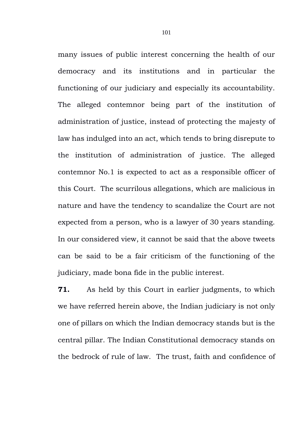many issues of public interest concerning the health of our democracy and its institutions and in particular the functioning of our judiciary and especially its accountability. The alleged contemnor being part of the institution of administration of justice, instead of protecting the majesty of law has indulged into an act, which tends to bring disrepute to the institution of administration of justice. The alleged contemnor No.1 is expected to act as a responsible officer of this Court. The scurrilous allegations, which are malicious in nature and have the tendency to scandalize the Court are not expected from a person, who is a lawyer of 30 years standing. In our considered view, it cannot be said that the above tweets can be said to be a fair criticism of the functioning of the judiciary, made bona fide in the public interest.

**71.** As held by this Court in earlier judgments, to which we have referred herein above, the Indian judiciary is not only one of pillars on which the Indian democracy stands but is the central pillar. The Indian Constitutional democracy stands on the bedrock of rule of law. The trust, faith and confidence of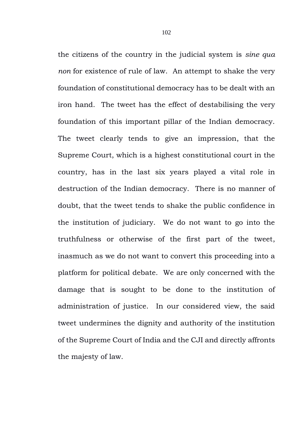the citizens of the country in the judicial system is *sine qua non* for existence of rule of law. An attempt to shake the very foundation of constitutional democracy has to be dealt with an iron hand. The tweet has the effect of destabilising the very foundation of this important pillar of the Indian democracy. The tweet clearly tends to give an impression, that the Supreme Court, which is a highest constitutional court in the country, has in the last six years played a vital role in destruction of the Indian democracy. There is no manner of doubt, that the tweet tends to shake the public confidence in the institution of judiciary. We do not want to go into the truthfulness or otherwise of the first part of the tweet, inasmuch as we do not want to convert this proceeding into a platform for political debate. We are only concerned with the damage that is sought to be done to the institution of administration of justice. In our considered view, the said tweet undermines the dignity and authority of the institution of the Supreme Court of India and the CJI and directly affronts the majesty of law.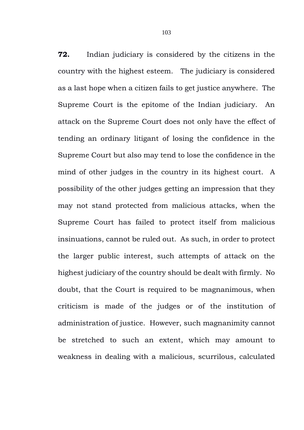**72.** Indian judiciary is considered by the citizens in the country with the highest esteem. The judiciary is considered as a last hope when a citizen fails to get justice anywhere. The Supreme Court is the epitome of the Indian judiciary. An attack on the Supreme Court does not only have the effect of tending an ordinary litigant of losing the confidence in the Supreme Court but also may tend to lose the confidence in the mind of other judges in the country in its highest court. A possibility of the other judges getting an impression that they may not stand protected from malicious attacks, when the Supreme Court has failed to protect itself from malicious insinuations, cannot be ruled out. As such, in order to protect the larger public interest, such attempts of attack on the highest judiciary of the country should be dealt with firmly. No doubt, that the Court is required to be magnanimous, when criticism is made of the judges or of the institution of administration of justice. However, such magnanimity cannot be stretched to such an extent, which may amount to weakness in dealing with a malicious, scurrilous, calculated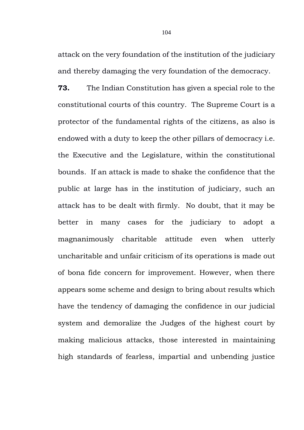attack on the very foundation of the institution of the judiciary and thereby damaging the very foundation of the democracy.

**73.** The Indian Constitution has given a special role to the constitutional courts of this country. The Supreme Court is a protector of the fundamental rights of the citizens, as also is endowed with a duty to keep the other pillars of democracy i.e. the Executive and the Legislature, within the constitutional bounds. If an attack is made to shake the confidence that the public at large has in the institution of judiciary, such an attack has to be dealt with firmly. No doubt, that it may be better in many cases for the judiciary to adopt a magnanimously charitable attitude even when utterly uncharitable and unfair criticism of its operations is made out of bona fide concern for improvement. However, when there appears some scheme and design to bring about results which have the tendency of damaging the confidence in our judicial system and demoralize the Judges of the highest court by making malicious attacks, those interested in maintaining high standards of fearless, impartial and unbending justice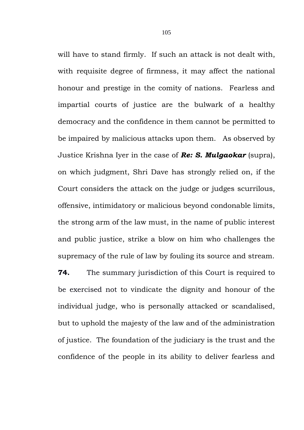will have to stand firmly. If such an attack is not dealt with. with requisite degree of firmness, it may affect the national honour and prestige in the comity of nations. Fearless and impartial courts of justice are the bulwark of a healthy democracy and the confidence in them cannot be permitted to be impaired by malicious attacks upon them. As observed by Justice Krishna Iyer in the case of *Re: S. Mulgaokar* (supra), on which judgment, Shri Dave has strongly relied on, if the Court considers the attack on the judge or judges scurrilous, offensive, intimidatory or malicious beyond condonable limits, the strong arm of the law must, in the name of public interest and public justice, strike a blow on him who challenges the supremacy of the rule of law by fouling its source and stream.

**74.** The summary jurisdiction of this Court is required to be exercised not to vindicate the dignity and honour of the individual judge, who is personally attacked or scandalised, but to uphold the majesty of the law and of the administration of justice. The foundation of the judiciary is the trust and the confidence of the people in its ability to deliver fearless and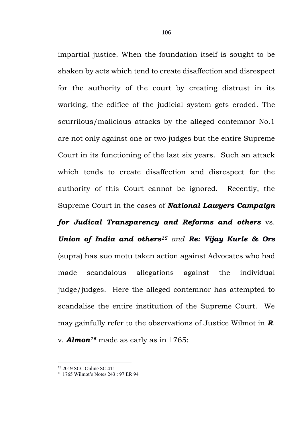impartial justice. When the foundation itself is sought to be shaken by acts which tend to create disaffection and disrespect for the authority of the court by creating distrust in its working, the edifice of the judicial system gets eroded. The scurrilous/malicious attacks by the alleged contemnor No.1 are not only against one or two judges but the entire Supreme Court in its functioning of the last six years. Such an attack which tends to create disaffection and disrespect for the authority of this Court cannot be ignored. Recently, the Supreme Court in the cases of *National Lawyers Campaign for Judical Transparency and Reforms and others* vs. *Union of India and others<sup>15</sup> and Re: Vijay Kurle & Ors* (supra) has suo motu taken action against Advocates who had made scandalous allegations against the individual judge/judges. Here the alleged contemnor has attempted to scandalise the entire institution of the Supreme Court. We may gainfully refer to the observations of Justice Wilmot in *R*. v. *Almon<sup>16</sup>* made as early as in 1765:

<sup>15</sup> 2019 SCC Online SC 411

<sup>16</sup> 1765 Wilmot's Notes 243 : 97 ER 94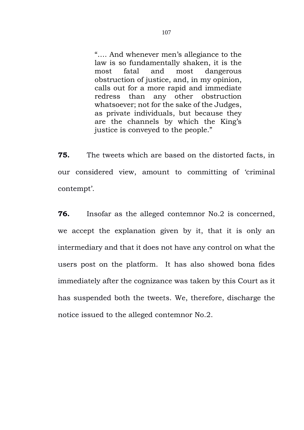"…. And whenever men's allegiance to the law is so fundamentally shaken, it is the most fatal and most dangerous obstruction of justice, and, in my opinion, calls out for a more rapid and immediate redress than any other obstruction whatsoever; not for the sake of the Judges, as private individuals, but because they are the channels by which the King's justice is conveyed to the people."

**75.** The tweets which are based on the distorted facts, in our considered view, amount to committing of 'criminal contempt'.

**76.** Insofar as the alleged contemnor No.2 is concerned, we accept the explanation given by it, that it is only an intermediary and that it does not have any control on what the users post on the platform. It has also showed bona fides immediately after the cognizance was taken by this Court as it has suspended both the tweets. We, therefore, discharge the notice issued to the alleged contemnor No.2.